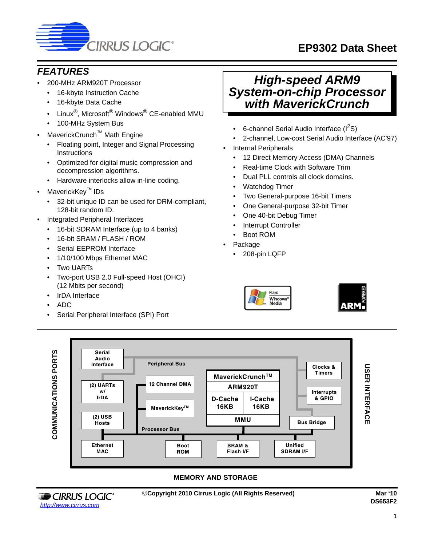

# **EP9302 Data Sheet**

# *FEATURES*

- 200-MHz ARM920T Processor
	- 16-kbyte Instruction Cache
	- 16-kbyte Data Cache
	- Linux<sup>®</sup>, Microsoft<sup>®</sup> Windows<sup>®</sup> CE-enabled MMU
	- 100-MHz System Bus
- MaverickCrunch™ Math Engine
	- Floating point, Integer and Signal Processing **Instructions**
	- Optimized for digital music compression and decompression algorithms.
	- Hardware interlocks allow in-line coding.
- MaverickKey™ IDs
	- 32-bit unique ID can be used for DRM-compliant, 128-bit random ID.
- Integrated Peripheral Interfaces
	- 16-bit SDRAM Interface (up to 4 banks)
	- 16-bit SRAM / FLASH / ROM
	- Serial EEPROM Interface
	- 1/10/100 Mbps Ethernet MAC
	- Two UARTs
	- Two-port USB 2.0 Full-speed Host (OHCI) (12 Mbits per second)
	- IrDA Interface
	- ADC
	- Serial Peripheral Interface (SPI) Port

# *High-speed ARM9 System-on-chip Processor with MaverickCrunch*

- 6-channel Serial Audio Interface  $(I^2S)$
- 2-channel, Low-cost Serial Audio Interface (AC'97)
- Internal Peripherals
	- 12 Direct Memory Access (DMA) Channels
	- Real-time Clock with Software Trim
	- Dual PLL controls all clock domains.
	- Watchdog Timer
	- Two General-purpose 16-bit Timers
	- One General-purpose 32-bit Timer
	- One 40-bit Debug Timer
	- **Interrupt Controller**
	- Boot ROM
- Package
	- 208-pin LQFP





#### **MEMORY AND STORAGE**

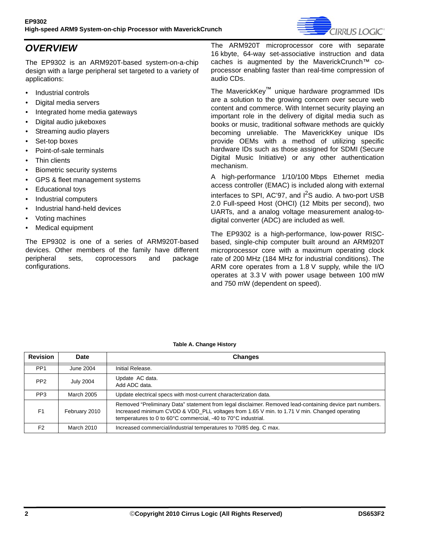

# *OVERVIEW*

The EP9302 is an ARM920T-based system-on-a-chip design with a large peripheral set targeted to a variety of applications:

- Industrial controls
- Digital media servers
- Integrated home media gateways
- Digital audio jukeboxes
- Streaming audio players
- Set-top boxes
- Point-of-sale terminals
- **Thin clients**
- Biometric security systems
- GPS & fleet management systems
- Educational toys
- Industrial computers
- Industrial hand-held devices
- Voting machines
- Medical equipment

The EP9302 is one of a series of ARM920T-based devices. Other members of the family have different peripheral sets, coprocessors and package configurations.

The ARM920T microprocessor core with separate 16 kbyte, 64-way set-associative instruction and data caches is augmented by the MaverickCrunch™ coprocessor enabling faster than real-time compression of audio CDs.

The MaverickKey™ unique hardware programmed IDs are a solution to the growing concern over secure web content and commerce. With Internet security playing an important role in the delivery of digital media such as books or music, traditional software methods are quickly becoming unreliable. The MaverickKey unique IDs provide OEMs with a method of utilizing specific hardware IDs such as those assigned for SDMI (Secure Digital Music Initiative) or any other authentication mechanism.

A high-performance 1/10/100 Mbps Ethernet media access controller (EMAC) is included along with external interfaces to SPI, AC'97, and  $I^2S$  audio. A two-port USB 2.0 Full-speed Host (OHCI) (12 Mbits per second), two UARTs, and a analog voltage measurement analog-todigital converter (ADC) are included as well.

The EP9302 is a high-performance, low-power RISCbased, single-chip computer built around an ARM920T microprocessor core with a maximum operating clock rate of 200 MHz (184 MHz for industrial conditions). The ARM core operates from a 1.8 V supply, while the I/O operates at 3.3 V with power usage between 100 mW and 750 mW (dependent on speed).

<span id="page-1-0"></span>

| <b>Revision</b> | <b>Date</b>      | <b>Changes</b>                                                                                                                                                                                                                                                           |
|-----------------|------------------|--------------------------------------------------------------------------------------------------------------------------------------------------------------------------------------------------------------------------------------------------------------------------|
| PP <sub>1</sub> | June 2004        | Initial Release.                                                                                                                                                                                                                                                         |
| PP <sub>2</sub> | <b>July 2004</b> | Update AC data.<br>Add ADC data.                                                                                                                                                                                                                                         |
| PP <sub>3</sub> | March 2005       | Update electrical specs with most-current characterization data.                                                                                                                                                                                                         |
| F <sub>1</sub>  | February 2010    | Removed "Preliminary Data" statement from legal disclaimer. Removed lead-containing device part numbers.<br>Increased minimum CVDD & VDD PLL voltages from 1.65 V min. to 1.71 V min. Changed operating<br>temperatures to 0 to 60°C commercial, -40 to 70°C industrial. |
| F <sub>2</sub>  | March 2010       | Increased commercial/industrial temperatures to 70/85 deg. C max.                                                                                                                                                                                                        |

#### **Table A. Change History**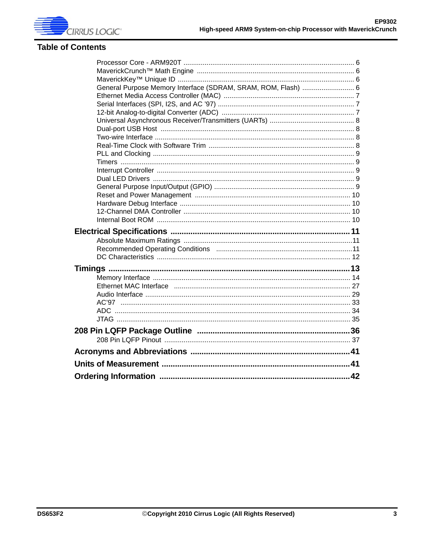

## **Table of Contents**

| General Purpose Memory Interface (SDRAM, SRAM, ROM, Flash)  6 |  |
|---------------------------------------------------------------|--|
|                                                               |  |
|                                                               |  |
|                                                               |  |
|                                                               |  |
|                                                               |  |
|                                                               |  |
|                                                               |  |
|                                                               |  |
|                                                               |  |
|                                                               |  |
|                                                               |  |
|                                                               |  |
|                                                               |  |
|                                                               |  |
|                                                               |  |
|                                                               |  |
|                                                               |  |
|                                                               |  |
|                                                               |  |
|                                                               |  |
|                                                               |  |
|                                                               |  |
|                                                               |  |
|                                                               |  |
|                                                               |  |
|                                                               |  |
|                                                               |  |
|                                                               |  |
|                                                               |  |
|                                                               |  |
|                                                               |  |
|                                                               |  |
|                                                               |  |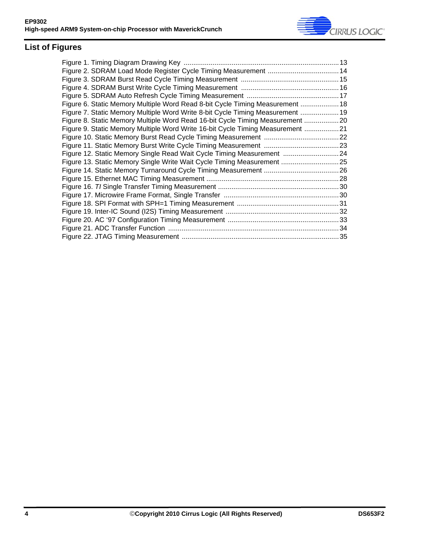

# **List of Figures**

| Figure 2. SDRAM Load Mode Register Cycle Timing Measurement  14                |  |
|--------------------------------------------------------------------------------|--|
|                                                                                |  |
|                                                                                |  |
|                                                                                |  |
| Figure 6. Static Memory Multiple Word Read 8-bit Cycle Timing Measurement  18  |  |
| Figure 7. Static Memory Multiple Word Write 8-bit Cycle Timing Measurement  19 |  |
| Figure 8. Static Memory Multiple Word Read 16-bit Cycle Timing Measurement 20  |  |
| Figure 9. Static Memory Multiple Word Write 16-bit Cycle Timing Measurement 21 |  |
|                                                                                |  |
|                                                                                |  |
| Figure 12. Static Memory Single Read Wait Cycle Timing Measurement 24          |  |
| Figure 13. Static Memory Single Write Wait Cycle Timing Measurement  25        |  |
|                                                                                |  |
|                                                                                |  |
|                                                                                |  |
|                                                                                |  |
|                                                                                |  |
|                                                                                |  |
|                                                                                |  |
|                                                                                |  |
|                                                                                |  |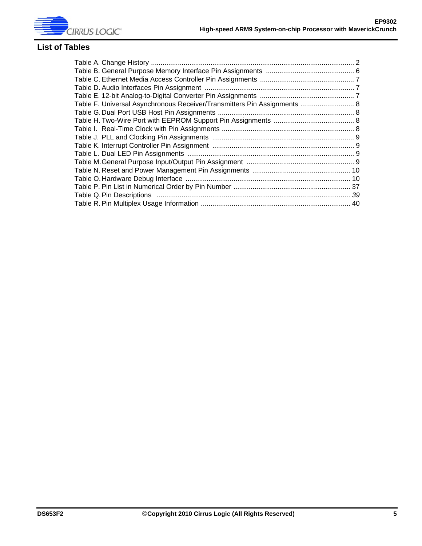

## **List of Tables**

| Table F. Universal Asynchronous Receiver/Transmitters Pin Assignments  8 |  |
|--------------------------------------------------------------------------|--|
|                                                                          |  |
|                                                                          |  |
|                                                                          |  |
|                                                                          |  |
|                                                                          |  |
|                                                                          |  |
|                                                                          |  |
|                                                                          |  |
|                                                                          |  |
|                                                                          |  |
|                                                                          |  |
|                                                                          |  |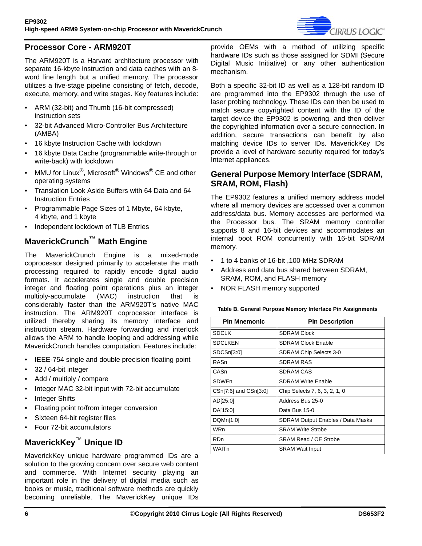

### <span id="page-5-0"></span>**Processor Core - ARM920T**

The ARM920T is a Harvard architecture processor with separate 16-kbyte instruction and data caches with an 8 word line length but a unified memory. The processor utilizes a five-stage pipeline consisting of fetch, decode, execute, memory, and write stages. Key features include:

- ARM (32-bit) and Thumb (16-bit compressed) instruction sets
- 32-bit Advanced Micro-Controller Bus Architecture (AMBA)
- 16 kbyte Instruction Cache with lockdown
- 16 kbyte Data Cache (programmable write-through or write-back) with lockdown
- MMU for Linux<sup>®</sup>, Microsoft<sup>®</sup> Windows<sup>®</sup> CE and other operating systems
- Translation Look Aside Buffers with 64 Data and 64 Instruction Entries
- Programmable Page Sizes of 1 Mbyte, 64 kbyte, 4 kbyte, and 1 kbyte
- Independent lockdown of TLB Entries

# <span id="page-5-1"></span>**MaverickCrunch™ Math Engine**

The MaverickCrunch Engine is a mixed-mode coprocessor designed primarily to accelerate the math processing required to rapidly encode digital audio formats. It accelerates single and double precision integer and floating point operations plus an integer multiply-accumulate (MAC) instruction that is considerably faster than the ARM920T's native MAC instruction. The ARM920T coprocessor interface is utilized thereby sharing its memory interface and instruction stream. Hardware forwarding and interlock allows the ARM to handle looping and addressing while MaverickCrunch handles computation. Features include:

- IEEE-754 single and double precision floating point
- 32 / 64-bit integer
- Add / multiply / compare
- Integer MAC 32-bit input with 72-bit accumulate
- Integer Shifts
- Floating point to/from integer conversion
- Sixteen 64-bit register files
- Four 72-bit accumulators

## <span id="page-5-2"></span>**MaverickKey**™ **Unique ID**

MaverickKey unique hardware programmed IDs are a solution to the growing concern over secure web content and commerce. With Internet security playing an important role in the delivery of digital media such as books or music, traditional software methods are quickly becoming unreliable. The MaverickKey unique IDs provide OEMs with a method of utilizing specific hardware IDs such as those assigned for SDMI (Secure Digital Music Initiative) or any other authentication mechanism.

Both a specific 32-bit ID as well as a 128-bit random ID are programmed into the EP9302 through the use of laser probing technology. These IDs can then be used to match secure copyrighted content with the ID of the target device the EP9302 is powering, and then deliver the copyrighted information over a secure connection. In addition, secure transactions can benefit by also matching device IDs to server IDs. MaverickKey IDs provide a level of hardware security required for today's Internet appliances.

### <span id="page-5-3"></span>**General Purpose Memory Interface (SDRAM, SRAM, ROM, Flash)**

The EP9302 features a unified memory address model where all memory devices are accessed over a common address/data bus. Memory accesses are performed via the Processor bus. The SRAM memory controller supports 8 and 16-bit devices and accommodates an internal boot ROM concurrently with 16-bit SDRAM memory.

- 1 to 4 banks of 16-bit ,100-MHz SDRAM
- Address and data bus shared between SDRAM, SRAM, ROM, and FLASH memory
- NOR FLASH memory supported

#### <span id="page-5-4"></span>**Table B. General Purpose Memory Interface Pin Assignments**

| <b>Pin Mnemonic</b>   | <b>Pin Description</b>                   |
|-----------------------|------------------------------------------|
| <b>SDCLK</b>          | <b>SDRAM Clock</b>                       |
| <b>SDCLKEN</b>        | <b>SDRAM Clock Enable</b>                |
| SDCSn[3:0]            | SDRAM Chip Selects 3-0                   |
| RASn                  | <b>SDRAM RAS</b>                         |
| CASn                  | SDRAM CAS                                |
| <b>SDWEn</b>          | <b>SDRAM Write Enable</b>                |
| CSn[7:6] and CSn[3:0] | Chip Selects 7, 6, 3, 2, 1, 0            |
| AD[25:0]              | Address Bus 25-0                         |
| DA[15:0]              | Data Bus 15-0                            |
| DQMn[1:0]             | <b>SDRAM Output Enables / Data Masks</b> |
| WRn                   | <b>SRAM Write Strobe</b>                 |
| <b>RDn</b>            | SRAM Read / OE Strobe                    |
| WAITn                 | <b>SRAM Wait Input</b>                   |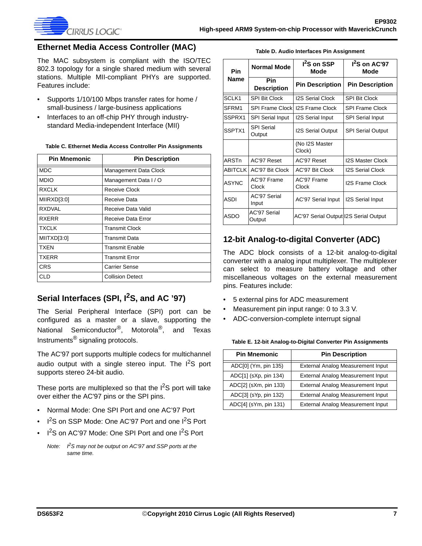

#### <span id="page-6-0"></span>**Ethernet Media Access Controller (MAC)**

The MAC subsystem is compliant with the ISO/TEC 802.3 topology for a single shared medium with several stations. Multiple MII-compliant PHYs are supported. Features include:

- Supports 1/10/100 Mbps transfer rates for home / small-business / large-business applications
- Interfaces to an off-chip PHY through industrystandard Media-independent Interface (MII)

<span id="page-6-3"></span>**Table C. Ethernet Media Access Controller Pin Assignments**

| <b>Pin Mnemonic</b> | <b>Pin Description</b>  |
|---------------------|-------------------------|
| <b>MDC</b>          | Management Data Clock   |
| <b>MDIO</b>         | Management Data I / O   |
| <b>RXCLK</b>        | Receive Clock           |
| MIIRXD[3:0]         | Receive Data            |
| <b>RXDVAL</b>       | Receive Data Valid      |
| <b>RXERR</b>        | Receive Data Error      |
| <b>TXCLK</b>        | Transmit Clock          |
| MIITXD[3:0]         | Transmit Data           |
| <b>TXEN</b>         | Transmit Enable         |
| <b>TXERR</b>        | Transmit Error          |
| <b>CRS</b>          | Carrier Sense           |
| CLD                 | <b>Collision Detect</b> |

# <span id="page-6-1"></span>Serial Interfaces (SPI, I<sup>2</sup>S, and AC '97)

The Serial Peripheral Interface (SPI) port can be configured as a master or a slave, supporting the National Semiconductor<sup>®</sup>, Motorola<sup>®</sup>, and Texas Instruments® signaling protocols.

The AC'97 port supports multiple codecs for multichannel audio output with a single stereo input. The  $I^2S$  port supports stereo 24-bit audio.

These ports are multiplexed so that the  $1<sup>2</sup>S$  port will take over either the AC'97 pins or the SPI pins.

- Normal Mode: One SPI Port and one AC'97 Port
- 1<sup>2</sup>S on SSP Mode: One AC'97 Port and one 1<sup>2</sup>S Port
- I<sup>2</sup>S on AC'97 Mode: One SPI Port and one I<sup>2</sup>S Port

*Note: I2S may not be output on AC'97 and SSP ports at the same time.*

|  |  |  |  | Table D. Audio Interfaces Pin Assignment |
|--|--|--|--|------------------------------------------|
|--|--|--|--|------------------------------------------|

<span id="page-6-4"></span>

| <b>Pin</b>     | <b>Normal Mode</b>          | 1 <sup>2</sup> S on SSP<br>Mode       | I <sup>2</sup> S on AC'97<br>Mode |
|----------------|-----------------------------|---------------------------------------|-----------------------------------|
| Name           | Pin<br><b>Description</b>   | <b>Pin Description</b>                | <b>Pin Description</b>            |
| SCLK1          | <b>SPI Bit Clock</b>        | <b>I2S Serial Clock</b>               | <b>SPI Bit Clock</b>              |
| SFRM1          | <b>SPI Frame Clockl</b>     | <b>I2S Frame Clock</b>                | <b>SPI Frame Clock</b>            |
| SSPRX1         | <b>SPI Serial Input</b>     | <b>I2S Serial Input</b>               | <b>SPI Serial Input</b>           |
| SSPTX1         | <b>SPI Serial</b><br>Output | <b>I2S Serial Output</b>              | <b>SPI Serial Output</b>          |
|                |                             | (No I2S Master<br>Clock)              |                                   |
| ARSTn          | AC'97 Reset                 | AC'97 Reset                           | <b>I2S Master Clock</b>           |
| <b>ABITCLK</b> | AC'97 Bit Clock             | AC'97 Bit Clock                       | <b>I2S Serial Clock</b>           |
| <b>ASYNC</b>   | AC'97 Frame<br>Clock        | AC'97 Frame<br>Clock                  | <b>I2S Frame Clock</b>            |
| <b>ASDI</b>    | AC'97 Serial<br>Input       | <b>AC'97 Serial Input</b>             | <b>I2S Serial Input</b>           |
| ASDO           | AC'97 Serial<br>Output      | AC'97 Serial Output 12S Serial Output |                                   |

### <span id="page-6-2"></span>**12-bit Analog-to-digital Converter (ADC)**

The ADC block consists of a 12-bit analog-to-digital converter with a analog input multiplexer. The multiplexer can select to measure battery voltage and other miscellaneous voltages on the external measurement pins. Features include:

- 5 external pins for ADC measurement
- Measurement pin input range: 0 to 3.3 V.
- ADC-conversion-complete interrupt signal

#### <span id="page-6-5"></span>**Table E. 12-bit Analog-to-Digital Converter Pin Assignments**

| <b>Pin Mnemonic</b>   | <b>Pin Description</b>            |
|-----------------------|-----------------------------------|
| ADC[0] (Ym, pin 135)  | External Analog Measurement Input |
| ADC[1] (sXp, pin 134) | External Analog Measurement Input |
| ADC[2] (sXm, pin 133) | External Analog Measurement Input |
| ADC[3] (sYp, pin 132) | External Analog Measurement Input |
| ADC[4] (sYm, pin 131) | External Analog Measurement Input |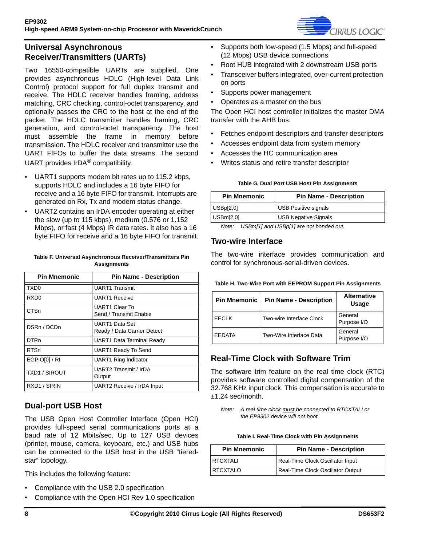

### <span id="page-7-0"></span>**Universal Asynchronous Receiver/Transmitters (UARTs)**

Two 16550-compatible UARTs are supplied. One provides asynchronous HDLC (High-level Data Link Control) protocol support for full duplex transmit and receive. The HDLC receiver handles framing, address matching, CRC checking, control-octet transparency, and optionally passes the CRC to the host at the end of the packet. The HDLC transmitter handles framing, CRC generation, and control-octet transparency. The host must assemble the frame in memory before transmission. The HDLC receiver and transmitter use the UART FIFOs to buffer the data streams. The second UART provides IrDA® compatibility.

- UART1 supports modem bit rates up to 115.2 kbps, supports HDLC and includes a 16 byte FIFO for receive and a 16 byte FIFO for transmit. Interrupts are generated on Rx, Tx and modem status change.
- UART2 contains an IrDA encoder operating at either the slow (up to 115 kbps), medium (0.576 or 1.152 Mbps), or fast (4 Mbps) IR data rates. It also has a 16 byte FIFO for receive and a 16 byte FIFO for transmit.

#### <span id="page-7-4"></span>**Table F. Universal Asynchronous Receiver/Transmitters Pin Assignments**

| <b>Pin Mnemonic</b>  | <b>Pin Name - Description</b>                   |
|----------------------|-------------------------------------------------|
| TXD <sub>0</sub>     | <b>UART1 Transmit</b>                           |
| RXD <sub>0</sub>     | <b>UART1 Receive</b>                            |
| <b>CTSn</b>          | <b>UART1 Clear To</b><br>Send / Transmit Fnable |
| DSRn / DCDn          | UART1 Data Set<br>Ready / Data Carrier Detect   |
| <b>DTRn</b>          | <b>UART1 Data Terminal Ready</b>                |
| <b>RTSn</b>          | <b>UART1 Ready To Send</b>                      |
| EGPIO[0] / RI        | <b>UART1 Ring Indicator</b>                     |
| <b>TXD1 / SIROUT</b> | UART2 Transmit / IrDA<br>Output                 |
| RXD1 / SIRIN         | UART2 Receive / IrDA Input                      |

## <span id="page-7-1"></span>**Dual-port USB Host**

The USB Open Host Controller Interface (Open HCI) provides full-speed serial communications ports at a baud rate of 12 Mbits/sec. Up to 127 USB devices (printer, mouse, camera, keyboard, etc.) and USB hubs can be connected to the USB host in the USB "tieredstar" topology.

This includes the following feature:

- Compliance with the USB 2.0 specification
- Compliance with the Open HCI Rev 1.0 specification
- Supports both low-speed (1.5 Mbps) and full-speed (12 Mbps) USB device connections
- Root HUB integrated with 2 downstream USB ports
- Transceiver buffers integrated, over-current protection on ports
- Supports power management
- Operates as a master on the bus

The Open HCI host controller initializes the master DMA transfer with the AHB bus:

- Fetches endpoint descriptors and transfer descriptors
- Accesses endpoint data from system memory
- Accesses the HC communication area
- Writes status and retire transfer descriptor

#### **Table G. Dual Port USB Host Pin Assignments**

<span id="page-7-5"></span>

| <b>Pin Mnemonic</b> | <b>Pin Name - Description</b> |
|---------------------|-------------------------------|
| USBp[2,0]           | <b>USB Positive signals</b>   |
| USBm[2,0]           | <b>USB Negative Signals</b>   |

*Note: USBm[1] and USBp[1] are not bonded out.*

### <span id="page-7-2"></span>**Two-wire Interface**

The two-wire interface provides communication and control for synchronous-serial-driven devices.

<span id="page-7-6"></span>

| <b>Pin Mnemonic</b> | <b>Pin Name - Description</b> | <b>Alternative</b><br>Usage |
|---------------------|-------------------------------|-----------------------------|
| <b>EECLK</b>        | Two-wire Interface Clock      | General<br>Purpose I/O      |
| <b>FFDATA</b>       | Two-Wire Interface Data       | General<br>Purpose I/O      |

## <span id="page-7-3"></span>**Real-Time Clock with Software Trim**

The software trim feature on the real time clock (RTC) provides software controlled digital compensation of the 32.768 KHz input clock. This compensation is accurate to ±1.24 sec/month.

*Note: A real time clock must be connected to RTCXTALI or the EP9302 device will not boot.*

|  |  | Table I. Real-Time Clock with Pin Assignments |
|--|--|-----------------------------------------------|
|--|--|-----------------------------------------------|

<span id="page-7-7"></span>

| <b>Pin Mnemonic</b><br><b>Pin Name - Description</b> |                                   |
|------------------------------------------------------|-----------------------------------|
| <b>RTCXTALI</b>                                      | Real-Time Clock Oscillator Input  |
| <b>RTCXTALO</b>                                      | Real-Time Clock Oscillator Output |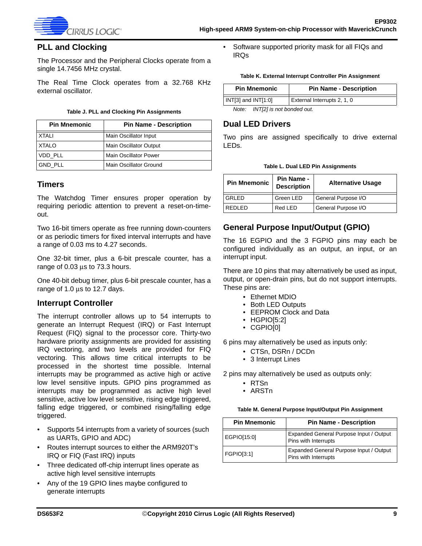

### <span id="page-8-0"></span>**PLL and Clocking**

The Processor and the Peripheral Clocks operate from a single 14.7456 MHz crystal.

The Real Time Clock operates from a 32.768 KHz external oscillator.

#### **Table J. PLL and Clocking Pin Assignments**

<span id="page-8-5"></span>

| <b>Pin Mnemonic</b> | <b>Pin Name - Description</b> |
|---------------------|-------------------------------|
| XTALI               | Main Oscillator Input         |
| <b>XTALO</b>        | Main Oscillator Output        |
| VDD PLL             | <b>Main Oscillator Power</b>  |
| <b>GND PLL</b>      | Main Oscillator Ground        |

#### <span id="page-8-1"></span>**Timers**

The Watchdog Timer ensures proper operation by requiring periodic attention to prevent a reset-on-timeout.

Two 16-bit timers operate as free running down-counters or as periodic timers for fixed interval interrupts and have a range of 0.03 ms to 4.27 seconds.

One 32-bit timer, plus a 6-bit prescale counter, has a range of 0.03 μs to 73.3 hours.

One 40-bit debug timer, plus 6-bit prescale counter, has a range of 1.0 μs to 12.7 days.

#### <span id="page-8-2"></span>**Interrupt Controller**

The interrupt controller allows up to 54 interrupts to generate an Interrupt Request (IRQ) or Fast Interrupt Request (FIQ) signal to the processor core. Thirty-two hardware priority assignments are provided for assisting IRQ vectoring, and two levels are provided for FIQ vectoring. This allows time critical interrupts to be processed in the shortest time possible. Internal interrupts may be programmed as active high or active low level sensitive inputs. GPIO pins programmed as interrupts may be programmed as active high level sensitive, active low level sensitive, rising edge triggered, falling edge triggered, or combined rising/falling edge triggered.

- Supports 54 interrupts from a variety of sources (such as UARTs, GPIO and ADC)
- Routes interrupt sources to either the ARM920T's IRQ or FIQ (Fast IRQ) inputs
- Three dedicated off-chip interrupt lines operate as active high level sensitive interrupts
- Any of the 19 GPIO lines maybe configured to generate interrupts

• Software supported priority mask for all FIQs and IRQs

#### **Table K. External Interrupt Controller Pin Assignment**

<span id="page-8-6"></span>

| <b>Pin Mnemonic</b>     | <b>Pin Name - Description</b> |
|-------------------------|-------------------------------|
| $N[T[3]$ and $N[T[1:0]$ | External Interrupts 2, 1, 0   |

```
Note: INT[2] is not bonded out.
```
#### <span id="page-8-3"></span>**Dual LED Drivers**

Two pins are assigned specifically to drive external LEDs.

|  |  |  |  | Table L. Dual LED Pin Assignments |
|--|--|--|--|-----------------------------------|
|--|--|--|--|-----------------------------------|

<span id="page-8-7"></span>

| <b>Pin Mnemonic</b> | Pin Name -<br><b>Description</b> | <b>Alternative Usage</b> |
|---------------------|----------------------------------|--------------------------|
| <b>GRLED</b>        | Green LED                        | General Purpose I/O      |
| I REDI ED.          | Red LED                          | General Purpose I/O      |

### <span id="page-8-4"></span>**General Purpose Input/Output (GPIO)**

The 16 EGPIO and the 3 FGPIO pins may each be configured individually as an output, an input, or an interrupt input.

There are 10 pins that may alternatively be used as input, output, or open-drain pins, but do not support interrupts. These pins are:

- Ethernet MDIO
- Both LED Outputs
- EEPROM Clock and Data
- HGPIO[5:2]
- CGPIO[0]

6 pins may alternatively be used as inputs only:

- CTSn, DSRn / DCDn
- 3 Interrupt Lines

2 pins may alternatively be used as outputs only:

- RTSn
- ARSTn

**Table M. General Purpose Input/Output Pin Assignment**

<span id="page-8-8"></span>

| <b>Pin Mnemonic</b> | <b>Pin Name - Description</b>                                   |
|---------------------|-----------------------------------------------------------------|
| EGPIO[15:0]         | Expanded General Purpose Input / Output<br>Pins with Interrupts |
| <b>FGPIO[3:1]</b>   | Expanded General Purpose Input / Output<br>Pins with Interrupts |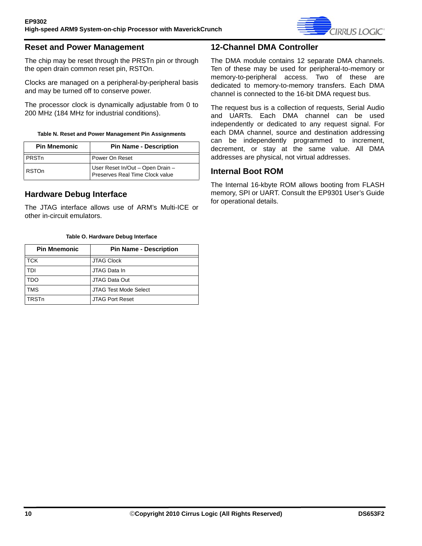

#### <span id="page-9-0"></span>**Reset and Power Management**

The chip may be reset through the PRSTn pin or through the open drain common reset pin, RSTOn.

Clocks are managed on a peripheral-by-peripheral basis and may be turned off to conserve power.

The processor clock is dynamically adjustable from 0 to 200 MHz (184 MHz for industrial conditions).

#### **Table N. Reset and Power Management Pin Assignments**

<span id="page-9-4"></span>

| <b>Pin Mnemonic</b> | <b>Pin Name - Description</b>                                       |
|---------------------|---------------------------------------------------------------------|
| PRSTn               | Power On Reset                                                      |
| <b>RSTOn</b>        | User Reset In/Out - Open Drain -<br>Preserves Real Time Clock value |

#### <span id="page-9-1"></span>**Hardware Debug Interface**

The JTAG interface allows use of ARM's Multi-ICE or other in-circuit emulators.

#### **Table O. Hardware Debug Interface**

<span id="page-9-5"></span>

| <b>Pin Mnemonic</b> | <b>Pin Name - Description</b> |
|---------------------|-------------------------------|
| <b>TCK</b>          | <b>JTAG Clock</b>             |
| TDI                 | JTAG Data In                  |
| <b>TDO</b>          | JTAG Data Out                 |
| <b>TMS</b>          | <b>JTAG Test Mode Select</b>  |
| <b>TRSTn</b>        | <b>JTAG Port Reset</b>        |

#### <span id="page-9-2"></span>**12-Channel DMA Controller**

The DMA module contains 12 separate DMA channels. Ten of these may be used for peripheral-to-memory or memory-to-peripheral access. Two of these are dedicated to memory-to-memory transfers. Each DMA channel is connected to the 16-bit DMA request bus.

The request bus is a collection of requests, Serial Audio and UARTs. Each DMA channel can be used independently or dedicated to any request signal. For each DMA channel, source and destination addressing can be independently programmed to increment, decrement, or stay at the same value. All DMA addresses are physical, not virtual addresses.

#### <span id="page-9-3"></span>**Internal Boot ROM**

The Internal 16-kbyte ROM allows booting from FLASH memory, SPI or UART. Consult the EP9301 User's Guide for operational details.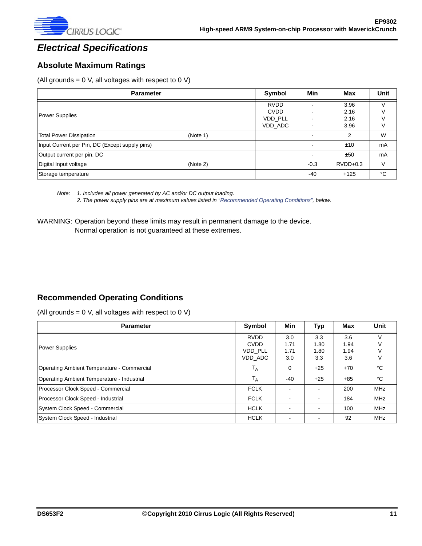

# <span id="page-10-0"></span>*Electrical Specifications*

### <span id="page-10-1"></span>**Absolute Maximum Ratings**

(All grounds =  $0$  V, all voltages with respect to  $0$  V)

| <b>Parameter</b>                               |          | Symbol                                           | <b>Min</b> | Max                          | <b>Unit</b>                |
|------------------------------------------------|----------|--------------------------------------------------|------------|------------------------------|----------------------------|
| <b>Power Supplies</b>                          |          | <b>RVDD</b><br><b>CVDD</b><br>VDD PLL<br>VDD ADC |            | 3.96<br>2.16<br>2.16<br>3.96 | $\vee$<br>$\vee$<br>V<br>V |
| <b>Total Power Dissipation</b>                 | (Note 1) |                                                  |            | 2                            | W                          |
| Input Current per Pin, DC (Except supply pins) |          |                                                  |            | ±10                          | mA                         |
| Output current per pin, DC                     |          |                                                  |            | ±50                          | mA                         |
| Digital Input voltage                          | (Note 2) |                                                  | $-0.3$     | $RVDD+0.3$                   | $\vee$                     |
| Storage temperature                            |          |                                                  | $-40$      | $+125$                       | °C                         |

*Note: 1. Includes all power generated by AC and/or DC output loading. 2. The power supply pins are at maximum values listed in "Recommended Operating Conditions", below.*

WARNING: Operation beyond these limits may result in permanent damage to the device. Normal operation is not guaranteed at these extremes.

#### <span id="page-10-2"></span>**Recommended Operating Conditions**

(All grounds =  $0$  V, all voltages with respect to  $0$  V)

| <b>Parameter</b>                           | Symbol      | Min                      | Typ                      | Max                                                      | Unit       |
|--------------------------------------------|-------------|--------------------------|--------------------------|----------------------------------------------------------|------------|
|                                            | <b>RVDD</b> | 3.0                      | 3.3                      | 3.6                                                      |            |
| <b>Power Supplies</b>                      | <b>CVDD</b> | 1.71                     | 1.80                     | 1.94                                                     |            |
|                                            | VDD PLL     | 1.71                     | 1.80                     | 1.94<br>3.6<br>$+70$<br>$+85$<br>200<br>184<br>100<br>92 |            |
|                                            | VDD ADC     | 3.0                      | 3.3                      |                                                          |            |
| Operating Ambient Temperature - Commercial | $T_A$       | 0                        | $+25$                    |                                                          | °C         |
| Operating Ambient Temperature - Industrial | $T_A$       | $-40$                    | $+25$                    |                                                          | °C         |
| Processor Clock Speed - Commercial         | <b>FCLK</b> |                          |                          |                                                          | <b>MHz</b> |
| Processor Clock Speed - Industrial         | <b>FCLK</b> | $\overline{\phantom{a}}$ | $\overline{\phantom{a}}$ |                                                          | <b>MHz</b> |
| System Clock Speed - Commercial            | <b>HCLK</b> |                          |                          |                                                          | MHz        |
| System Clock Speed - Industrial            | <b>HCLK</b> |                          |                          |                                                          | <b>MHz</b> |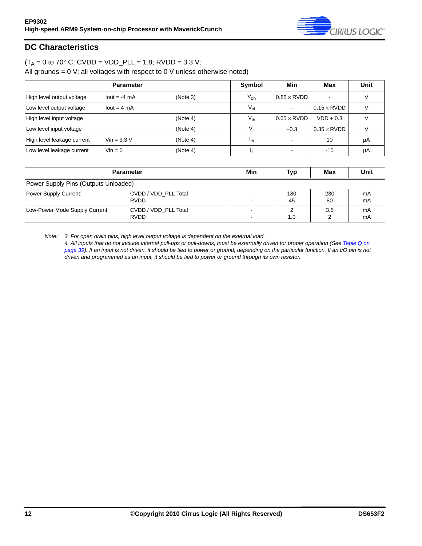

### <span id="page-11-0"></span>**DC Characteristics**

## $(T_A = 0 \text{ to } 70^{\circ} \text{ C};$  CVDD = VDD\_PLL = 1.8; RVDD = 3.3 V;

All grounds =  $0$  V; all voltages with respect to  $0$  V unless otherwise noted)

|                            | <b>Parameter</b> |          | <b>Symbol</b>   | Min                | Max                | Unit |
|----------------------------|------------------|----------|-----------------|--------------------|--------------------|------|
| High level output voltage  | $lout = -4 mA$   | (Note 3) | $V_{\text{oh}}$ | $0.85 \times$ RVDD |                    |      |
| Low level output voltage   | $lout = 4 mA$    |          | $V_{ol}$        |                    | $0.15 \times$ RVDD |      |
| High level input voltage   |                  | (Note 4) | $V_{ih}$        | $0.65 \times$ RVDD | $VDD + 0.3$        |      |
| Low level input voltage    |                  | (Note 4) | V <sub>il</sub> | $-0.3$             | $0.35 \times$ RVDD |      |
| High level leakage current | $Vin = 3.3 V$    | (Note 4) | 'ih             |                    | 10                 | μA   |
| Low level leakage current  | $V$ in = 0       | (Note 4) | Ιij             |                    | $-10$              | μA   |

|                                      | <b>Parameter</b>                    |  | Typ       | Max       | Unit     |
|--------------------------------------|-------------------------------------|--|-----------|-----------|----------|
| Power Supply Pins (Outputs Unloaded) |                                     |  |           |           |          |
| Power Supply Current:                | CVDD / VDD PLL Total<br><b>RVDD</b> |  | 180<br>45 | 230<br>80 | mA<br>mA |
| Low-Power Mode Supply Current        | CVDD / VDD PLL Total<br><b>RVDD</b> |  | 1.0       | 3.5       | mA<br>mA |

*Note: 3. For open drain pins, high level output voltage is dependent on the external load.*

*4. All inputs that do not include internal pull-ups or pull-downs, must be externally driven for proper operation (See [Table Q on](#page-38-0)  [page 39](#page-38-0)). If an input is not driven, it should be tied to power or ground, depending on the particular function. If an I/O pin is not driven and programmed as an input, it should be tied to power or ground through its own resistor.*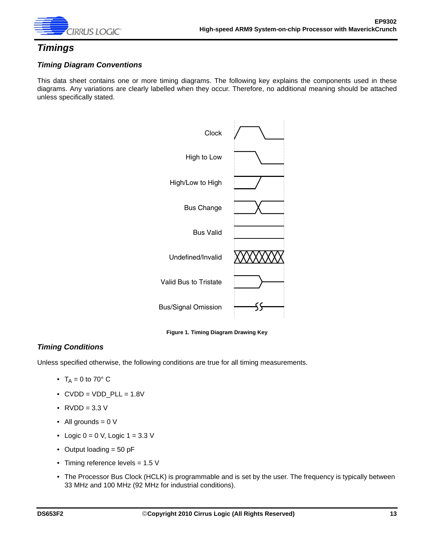

## <span id="page-12-0"></span>*Timings*

#### *Timing Diagram Conventions*

This data sheet contains one or more timing diagrams. The following key explains the components used in these diagrams. Any variations are clearly labelled when they occur. Therefore, no additional meaning should be attached unless specifically stated.



**Figure 1. Timing Diagram Drawing Key**

#### <span id="page-12-1"></span>*Timing Conditions*

Unless specified otherwise, the following conditions are true for all timing measurements.

- $T_A = 0$  to 70° C
- $\bullet$  CVDD = VDD\_PLL = 1.8V
- $RVDD = 3.3 V$
- All grounds  $= 0$  V
- Logic  $0 = 0$  V, Logic  $1 = 3.3$  V
- Output loading = 50 pF
- Timing reference levels = 1.5 V
- The Processor Bus Clock (HCLK) is programmable and is set by the user. The frequency is typically between 33 MHz and 100 MHz (92 MHz for industrial conditions).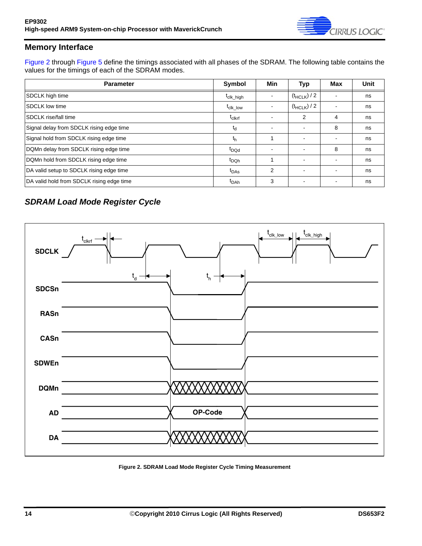

### <span id="page-13-0"></span>**Memory Interface**

[Figure 2](#page-13-1) through [Figure 5](#page-16-0) define the timings associated with all phases of the SDRAM. The following table contains the values for the timings of each of the SDRAM modes.

| <b>Parameter</b>                          | Symbol                | Min                      | <b>Typ</b>       | Max                      | Unit |
|-------------------------------------------|-----------------------|--------------------------|------------------|--------------------------|------|
| SDCLK high time                           | t <sub>clk_high</sub> |                          | $(t_{HCLK})$ / 2 |                          | ns   |
| <b>ISDCLK low time</b>                    | <sup>L</sup> clk low  |                          | $(t_{HCLK})/2$   |                          | ns   |
| <b>ISDCLK rise/fall time</b>              | t <sub>clkrf</sub>    | -                        | 2                | 4                        | ns   |
| Signal delay from SDCLK rising edge time  | $t_{d}$               | $\overline{\phantom{a}}$ |                  | 8                        | ns   |
| Signal hold from SDCLK rising edge time   | $t_h$                 |                          |                  |                          | ns   |
| DQMn delay from SDCLK rising edge time    | t <sub>DQd</sub>      | -                        |                  | 8                        | ns   |
| DQMn hold from SDCLK rising edge time     | t <sub>DQh</sub>      |                          |                  |                          | ns   |
| DA valid setup to SDCLK rising edge time  | $t_{\text{DAs}}$      | 2                        |                  | $\overline{\phantom{a}}$ | ns   |
| DA valid hold from SDCLK rising edge time | <sup>t</sup> DAh      | 3                        |                  |                          | ns   |

## *SDRAM Load Mode Register Cycle*



<span id="page-13-1"></span>**Figure 2. SDRAM Load Mode Register Cycle Timing Measurement**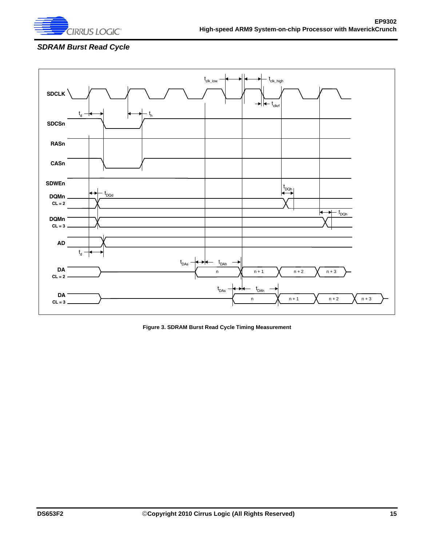

### *SDRAM Burst Read Cycle*



<span id="page-14-0"></span>**Figure 3. SDRAM Burst Read Cycle Timing Measurement**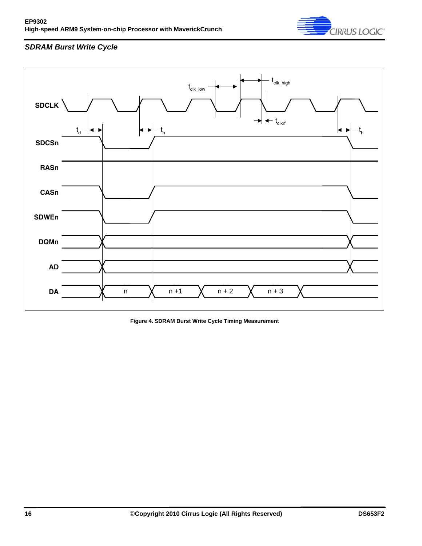

## *SDRAM Burst Write Cycle*



<span id="page-15-0"></span>**Figure 4. SDRAM Burst Write Cycle Timing Measurement**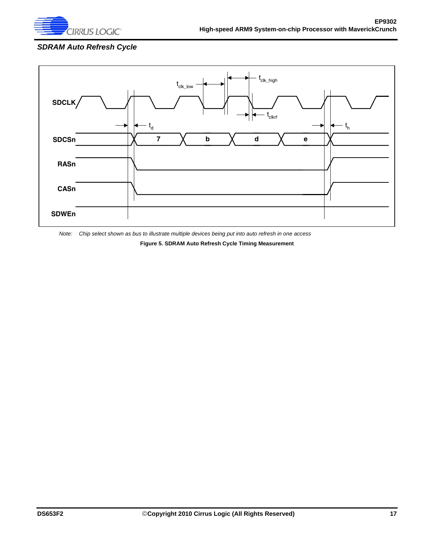

## *SDRAM Auto Refresh Cycle*



<span id="page-16-0"></span>*Note: Chip select shown as bus to illustrate multiple devices being put into auto refresh in one access*

**Figure 5. SDRAM Auto Refresh Cycle Timing Measurement**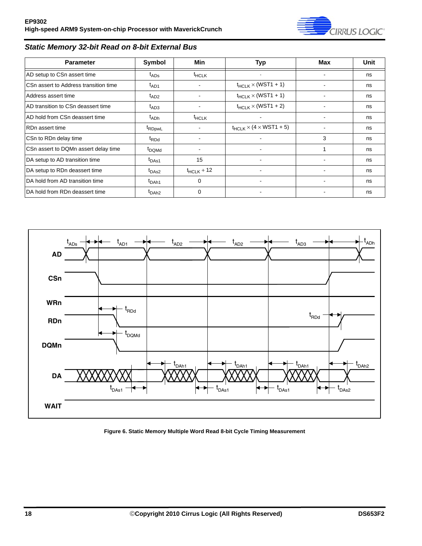

### *Static Memory 32-bit Read on 8-bit External Bus*

| <b>Parameter</b>                      | Symbol             | Min                      | <b>Typ</b>                     | <b>Max</b> | Unit |
|---------------------------------------|--------------------|--------------------------|--------------------------------|------------|------|
| AD setup to CSn assert time           | $t_{\text{ADS}}$   | <sup>t</sup> HCLK        |                                |            | ns   |
| CSn assert to Address transition time | $t_{AD1}$          |                          | $t_{HCLK}$ $\times$ (WST1 + 1) |            | ns   |
| Address assert time                   | $t_{AD2}$          |                          | $t_{HCLK}$ $\times$ (WST1 + 1) |            | ns   |
| AD transition to CSn deassert time    | $t_{AD3}$          |                          | $t_{HCLK}$ $\times$ (WST1 + 2) |            | ns   |
| AD hold from CSn deassert time        | $t_{ADh}$          | <sup>t</sup> HCLK        | ۰                              |            | ns   |
| RD <sub>n</sub> assert time           | <sup>t</sup> RDpwL | $\overline{\phantom{a}}$ | $t_{HCLK}$ × (4 × WST1 + 5)    |            | ns   |
| CSn to RDn delay time                 | t <sub>RDd</sub>   |                          |                                | 3          | ns   |
| CSn assert to DQMn assert delay time  | <sup>t</sup> DQMd  | $\overline{\phantom{a}}$ |                                |            | ns   |
| DA setup to AD transition time        | t <sub>DAs1</sub>  | 15                       |                                |            | ns   |
| DA setup to RDn deassert time         | t <sub>DAs2</sub>  | $t_{HCLK}$ + 12          |                                |            | ns   |
| DA hold from AD transition time       | t <sub>DAh1</sub>  | $\Omega$                 |                                |            | ns   |
| DA hold from RDn deassert time        | t <sub>DAh2</sub>  | $\Omega$                 |                                |            | ns   |



<span id="page-17-0"></span>**Figure 6. Static Memory Multiple Word Read 8-bit Cycle Timing Measurement**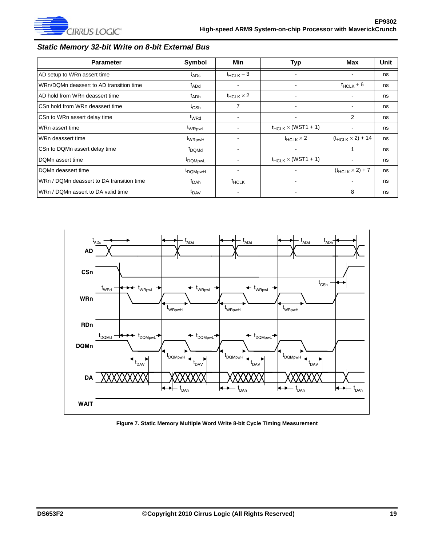

### *Static Memory 32-bit Write on 8-bit External Bus*

| <b>Parameter</b>                          | Symbol              | Min                      | Typ                            | <b>Max</b>                 | Unit |
|-------------------------------------------|---------------------|--------------------------|--------------------------------|----------------------------|------|
| AD setup to WRn assert time               | $t_{\text{ADS}}$    | $t_{HCLK}$ – 3           |                                |                            | ns   |
| WRn/DQMn deassert to AD transition time   | t <sub>ADd</sub>    |                          |                                | $t_{HCLK} + 6$             | ns   |
| AD hold from WRn deassert time            | $t_{ADh}$           | $t_{HCLK}$ $\times$ 2    |                                |                            | ns   |
| CSn hold from WRn deassert time           | $t_{\text{CSh}}$    | $\overline{7}$           | ٠                              |                            | ns   |
| CSn to WRn assert delay time              | t <sub>WRd</sub>    | $\overline{\phantom{a}}$ | $\overline{\phantom{a}}$       | 2                          | ns   |
| WRn assert time                           | t <sub>WRpwL</sub>  |                          | $t_{HCLK}$ $\times$ (WST1 + 1) |                            | ns   |
| WRn deassert time                         | t <sub>WRpwH</sub>  |                          | $t_{HCLK}$ $\times$ 2          | $(t_{HCLK} \times 2) + 14$ | ns   |
| CSn to DQMn assert delay time             | t <sub>DQMd</sub>   |                          |                                |                            | ns   |
| DQMn assert time                          | t <sub>DQMpwL</sub> |                          | $t_{HCLK}$ $\times$ (WST1 + 1) |                            | ns   |
| DQMn deassert time                        | t <sub>DQMpwH</sub> |                          |                                | $(t_{HCLK} \times 2) + 7$  | ns   |
| WRn / DQMn deassert to DA transition time | $t_{\sf DAh}$       | <sup>t</sup> HCLK        |                                |                            | ns   |
| WRn / DQMn assert to DA valid time        | t <sub>DAV</sub>    |                          |                                | 8                          | ns   |



<span id="page-18-0"></span>**Figure 7. Static Memory Multiple Word Write 8-bit Cycle Timing Measurement**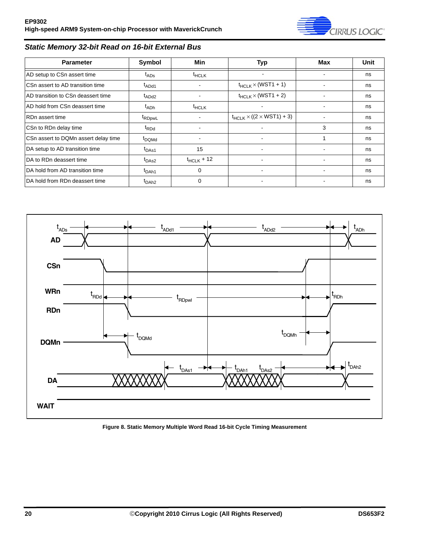

### *Static Memory 32-bit Read on 16-bit External Bus*

| <b>Parameter</b>                     | Symbol                        | Min               | <b>Typ</b>                              | Max | <b>Unit</b> |
|--------------------------------------|-------------------------------|-------------------|-----------------------------------------|-----|-------------|
| AD setup to CSn assert time          | $t_{\text{ADS}}$              | <sup>t</sup> HCLK | $\overline{\phantom{a}}$                |     | ns          |
| CSn assert to AD transition time     | t <sub>ADd1</sub>             | -                 | $t_{HCLK} \times (WST1 + 1)$            |     | ns          |
| AD transition to CSn deassert time   | t <sub>ADd2</sub>             | $\blacksquare$    | $t_{HCLK} \times (WST1 + 2)$            |     | ns          |
| AD hold from CSn deassert time       | $I_{ADh}$                     | $t$ HCLK          | ۰                                       |     | ns          |
| RDn assert time                      | <sup>t</sup> RDpwL            |                   | $t_{HCLK} \times ((2 \times WST1) + 3)$ |     | ns          |
| CSn to RDn delay time                | <sup>t</sup> RDd              |                   |                                         | 3   | ns          |
| CSn assert to DQMn assert delay time | t <sub>DQMd</sub>             |                   |                                         |     | ns          |
| DA setup to AD transition time       | t <sub>DAs1</sub>             | 15                |                                         |     | ns          |
| DA to RDn deassert time              | t <sub>DAs2</sub>             | $t_{HCLK}$ + 12   |                                         |     | ns          |
| DA hold from AD transition time      | t <sub>DAh1</sub>             | 0                 |                                         |     | ns          |
| DA hold from RDn deassert time       | <sup>I</sup> DAh <sub>2</sub> | 0                 |                                         |     | ns          |



<span id="page-19-0"></span>**Figure 8. Static Memory Multiple Word Read 16-bit Cycle Timing Measurement**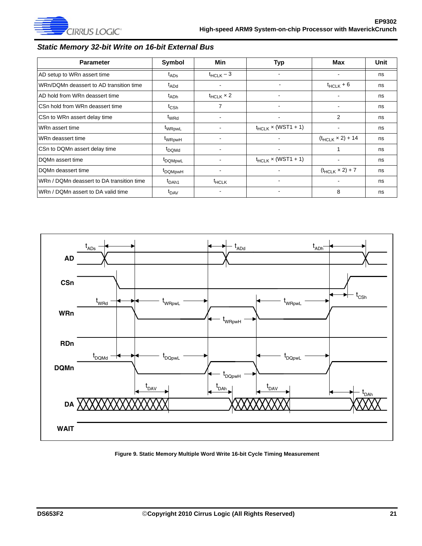

### *Static Memory 32-bit Write on 16-bit External Bus*

| <b>Parameter</b>                          | Symbol              | Min                   | <b>Typ</b>               | Max                        | Unit |
|-------------------------------------------|---------------------|-----------------------|--------------------------|----------------------------|------|
| AD setup to WRn assert time               | $t_{\text{ADS}}$    | $t_{HCLK} - 3$        |                          |                            | ns   |
| WRn/DQMn deassert to AD transition time   | t <sub>ADd</sub>    |                       |                          | $t_{HCLK}$ + 6             | ns   |
| AD hold from WRn deassert time            | t <sub>ADh</sub>    | $t_{HCLK}$ $\times$ 2 |                          |                            | ns   |
| CSn hold from WRn deassert time           | t <sub>CSh</sub>    | 7                     | $\overline{\phantom{a}}$ |                            | ns   |
| CSn to WRn assert delay time              | t <sub>WRd</sub>    | $\blacksquare$        | $\overline{\phantom{a}}$ | $\overline{2}$             | ns   |
| WRn assert time                           | t <sub>WRpwL</sub>  |                       | $t_{HCLK}$ × (WST1 + 1)  |                            | ns   |
| WRn deassert time                         | t <sub>WRpwH</sub>  |                       |                          | $(t_{HCLK} \times 2) + 14$ | ns   |
| CSn to DQMn assert delay time             | t <sub>DQMd</sub>   |                       | $\overline{\phantom{a}}$ |                            | ns   |
| IDQMn assert time                         | t <sub>DQMpwL</sub> |                       | $t_{HCLK}$ × (WST1 + 1)  |                            | ns   |
| DQMn deassert time                        | <sup>t</sup> DQMpwH |                       |                          | $(t_{HCLK} \times 2) + 7$  | ns   |
| WRn / DQMn deassert to DA transition time | t <sub>DAh1</sub>   | <sup>t</sup> HCLK     |                          |                            | ns   |
| WRn / DQMn assert to DA valid time        | t <sub>DAV</sub>    |                       |                          | 8                          | ns   |



<span id="page-20-0"></span>**Figure 9. Static Memory Multiple Word Write 16-bit Cycle Timing Measurement**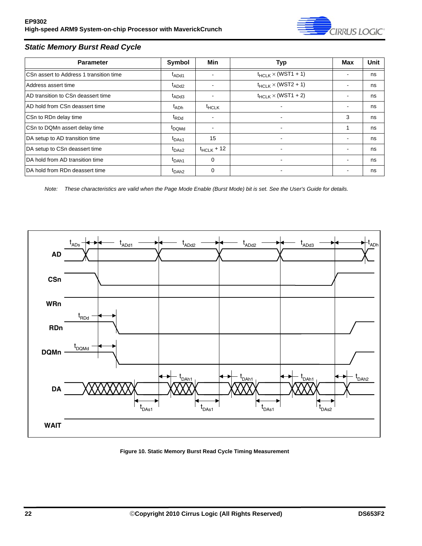

### *Static Memory Burst Read Cycle*

| <b>Parameter</b>                        | Symbol            | Min             | <b>Typ</b>                     | Max | <b>Unit</b> |
|-----------------------------------------|-------------------|-----------------|--------------------------------|-----|-------------|
| CSn assert to Address 1 transition time | t <sub>ADd1</sub> |                 | $t_{HCLK}$ $\times$ (WST1 + 1) |     | ns          |
| Address assert time                     | t <sub>ADd2</sub> |                 | $t_{HCLK}$ $\times$ (WST2 + 1) |     | ns          |
| AD transition to CSn deassert time      | $t_{ADd3}$        |                 | $t_{HCLK}$ $\times$ (WST1 + 2) | ۰   | ns          |
| AD hold from CSn deassert time          | t <sub>ADh</sub>  | $t$ HCLK        |                                |     | ns          |
| CSn to RDn delay time                   | <sup>t</sup> RDd  |                 | ۰                              | 3   | ns          |
| CSn to DQMn assert delay time           | t <sub>DQMd</sub> |                 | ۰                              |     | ns          |
| DA setup to AD transition time          | t <sub>DAs1</sub> | 15              |                                |     | ns          |
| DA setup to CSn deassert time           | t <sub>DAs2</sub> | $t_{HCLK}$ + 12 |                                |     | ns          |
| <b>IDA hold from AD transition time</b> | t <sub>DAh1</sub> | 0               |                                |     | ns          |
| IDA hold from RDn deassert time         | t <sub>DAh2</sub> | 0               |                                |     | ns          |

*Note: These characteristics are valid when the Page Mode Enable (Burst Mode) bit is set. See the User's Guide for details.*



<span id="page-21-0"></span>**Figure 10. Static Memory Burst Read Cycle Timing Measurement**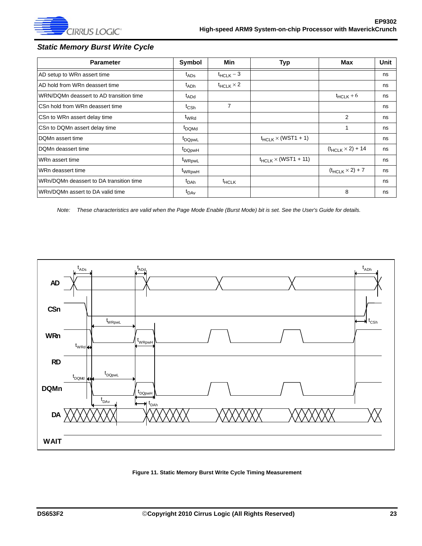

### *Static Memory Burst Write Cycle*

| <b>Parameter</b>                        | Symbol                        | Min                   | Typ                             | Max                        | Unit |
|-----------------------------------------|-------------------------------|-----------------------|---------------------------------|----------------------------|------|
| AD setup to WRn assert time             | t <sub>ADs</sub>              | $t_{HCLK} - 3$        |                                 |                            | ns   |
| AD hold from WRn deassert time          | t <sub>ADh</sub>              | $t_{HCLK}$ $\times$ 2 |                                 |                            | ns   |
| WRN/DQMn deassert to AD transition time | t <sub>ADd</sub>              |                       |                                 | $t_{HCLK} + 6$             | ns   |
| CSn hold from WRn deassert time         | $t_{\mathsf{CSh}}$            | 7                     |                                 |                            | ns   |
| CSn to WRn assert delay time            | t <sub>WRd</sub>              |                       |                                 | $\overline{2}$             | ns   |
| CSn to DQMn assert delay time           | <sup>t</sup> DQMd             |                       |                                 |                            | ns   |
| DOMn assert time                        | <sup>t</sup> DQpwL            |                       | $t_{HCLK}$ $\times$ (WST1 + 1)  |                            | ns   |
| DQMn deassert time                      | <sup>I</sup> DQpwH            |                       |                                 | $(t_{HCLK} \times 2) + 14$ | ns   |
| WRn assert time                         | t <sub>WRpwL</sub>            |                       | $t_{HCLK}$ $\times$ (WST1 + 11) |                            | ns   |
| WRn deassert time                       | t <sub>WRpwH</sub>            |                       |                                 | $(t_{HCLK} \times 2) + 7$  | ns   |
| WRn/DQMn deassert to DA transition time | t <sub>DAh</sub>              | $t$ HCLK              |                                 |                            | ns   |
| WRn/DQMn assert to DA valid time        | $\mathfrak{r}_{\mathsf{DAv}}$ |                       |                                 | 8                          | ns   |

*Note: These characteristics are valid when the Page Mode Enable (Burst Mode) bit is set. See the User's Guide for details.*



<span id="page-22-0"></span>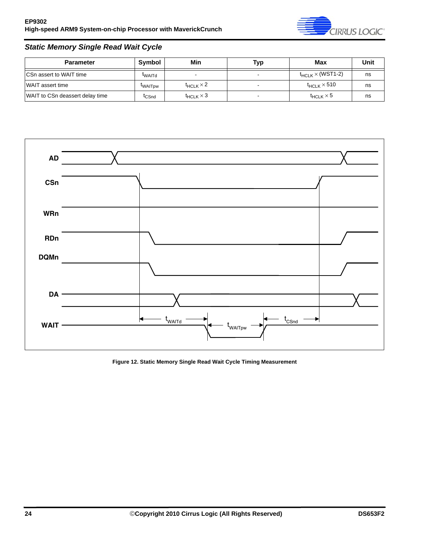

### *Static Memory Single Read Wait Cycle*

| <b>Parameter</b>                | Symbol            | Min                      | Typ | Max                          | Unit |
|---------------------------------|-------------------|--------------------------|-----|------------------------------|------|
| <b>CSn assert to WAIT time</b>  | <b>TWAITd</b>     | $\overline{\phantom{0}}$ |     | $t_{HCLK}$ $\times$ (WST1-2) | ns   |
| <b>WAIT</b> assert time         | <b>WAITDW</b>     | $t_{HCLK}$ $\times$ 2    |     | $t_{HCLK}$ $\times$ 510      | ns   |
| WAIT to CSn deassert delay time | <sup>T</sup> CSnd | $t_{HCLK} \times 3$      |     | $t_{HCLK}$ $\times$ 5        | ns   |



<span id="page-23-0"></span>**Figure 12. Static Memory Single Read Wait Cycle Timing Measurement**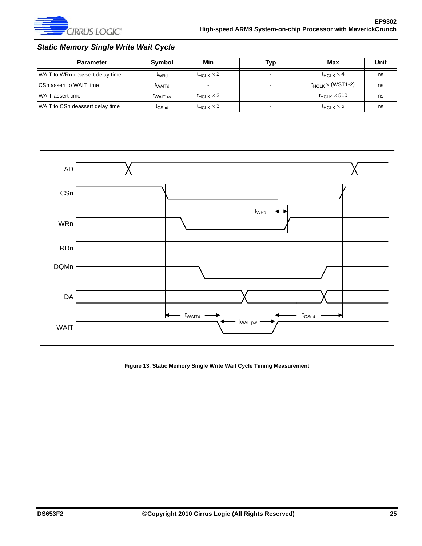

### *Static Memory Single Write Wait Cycle*

| <b>Parameter</b>                | Symbol            | Min                   | Typ | Max                           | Unit |
|---------------------------------|-------------------|-----------------------|-----|-------------------------------|------|
| WAIT to WRn deassert delay time | <sup>t</sup> WRd  | $t_{HCI K} \times 2$  |     | $t_{HCl K} \times 4$          | ns   |
| <b>CSn assert to WAIT time</b>  | <b>TWAITd</b>     |                       |     | $t_{HCl K}$ $\times$ (WST1-2) | ns   |
| WAIT assert time                | <b>WAITDW</b>     | $t_{HCI K} \times 2$  |     | $t_{HCI K}$ $\times$ 510      | ns   |
| WAIT to CSn deassert delay time | <sup>I</sup> CSnd | $t_{HCLK}$ $\times$ 3 |     | $t_{HCLK}$ $\times$ 5         | ns   |



#### <span id="page-24-0"></span>**Figure 13. Static Memory Single Write Wait Cycle Timing Measurement**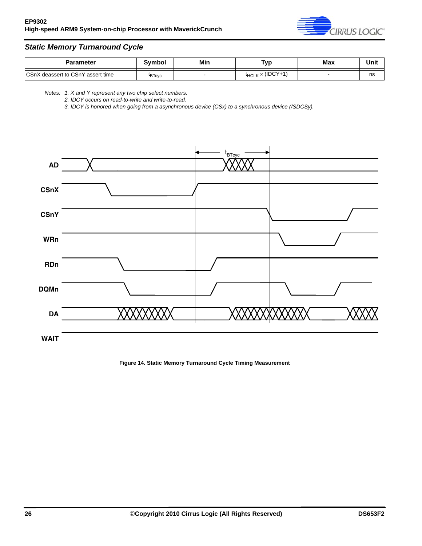

### *Static Memory Turnaround Cycle*

| Parameter                                 | Svmbol        | Min | Typ                        | Max | Unit |
|-------------------------------------------|---------------|-----|----------------------------|-----|------|
| <b>ICSnX</b> deassert to CSnY assert time | <b>IBTcyc</b> |     | $t_{HCLK} \times (IDCY+1)$ |     | ns   |

*Notes: 1. X and Y represent any two chip select numbers.*

*2. IDCY occurs on read-to-write and write-to-read.*

*3. IDCY is honored when going from a asynchronous device (CSx) to a synchronous device (/SDCSy).*



<span id="page-25-0"></span>**Figure 14. Static Memory Turnaround Cycle Timing Measurement**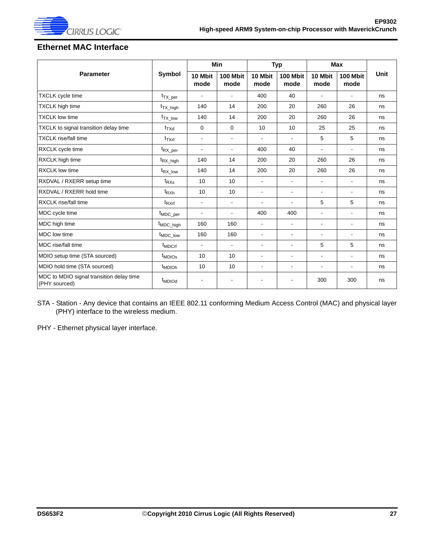

## <span id="page-26-0"></span>**Ethernet MAC Interface**

|                                                           |                                | <b>Min</b>               |                          | <b>Typ</b>      |                  | <b>Max</b>               |                         |             |
|-----------------------------------------------------------|--------------------------------|--------------------------|--------------------------|-----------------|------------------|--------------------------|-------------------------|-------------|
| <b>Parameter</b>                                          | Symbol                         | 10 Mbit<br>mode          | 100 Mbit<br>mode         | 10 Mbit<br>mode | 100 Mbit<br>mode | 10 Mbit<br>mode          | <b>100 Mbit</b><br>mode | <b>Unit</b> |
| <b>TXCLK</b> cycle time                                   | $t_{TX\_per}$                  |                          | $\blacksquare$           | 400             | 40               | $\overline{\phantom{a}}$ | ۰                       | ns          |
| <b>TXCLK</b> high time                                    | $t_{TX}$ high                  | 140                      | 14                       | 200             | 20               | 260                      | 26                      | ns          |
| <b>TXCLK low time</b>                                     | <sup>t</sup> TX low            | 140                      | 14                       | 200             | 20               | 260                      | 26                      | ns          |
| TXCLK to signal transition delay time                     | $t_{\text{TXd}}$               | 0                        | 0                        | 10              | 10               | 25                       | 25                      | ns          |
| <b>TXCLK</b> rise/fall time                               | $t_{TXrf}$                     | $\overline{\phantom{a}}$ | $\overline{\phantom{a}}$ | $\blacksquare$  | $\blacksquare$   | 5                        | 5                       | ns          |
| RXCLK cycle time                                          | t <sub>RX_per</sub>            | $\overline{\phantom{a}}$ | $\overline{\phantom{a}}$ | 400             | 40               | $\overline{a}$           | ä,                      | ns          |
| RXCLK high time                                           | t <sub>RX_high</sub>           | 140                      | 14                       | 200             | 20               | 260                      | 26                      | ns          |
| <b>RXCLK</b> low time                                     | t <sub>RX_low</sub>            | 140                      | 14                       | 200             | 20               | 260                      | 26                      | ns          |
| RXDVAL / RXERR setup time                                 | $t_{RXs}$                      | 10                       | 10                       | $\blacksquare$  | $\blacksquare$   | $\blacksquare$           | ä,                      | ns          |
| RXDVAL / RXERR hold time                                  | $t_{RXh}$                      | 10                       | 10                       | $\blacksquare$  | $\sim$           | $\blacksquare$           | ä,                      | ns          |
| <b>RXCLK</b> rise/fall time                               | $t_{\text{RXrf}}$              | $\blacksquare$           | $\blacksquare$           | $\blacksquare$  | $\blacksquare$   | 5                        | 5                       | ns          |
| MDC cycle time                                            | <sup>t</sup> MDC_per           | $\blacksquare$           | $\blacksquare$           | 400             | 400              | $\blacksquare$           | ä,                      | ns          |
| MDC high time                                             | t <sub>MDC_high</sub>          | 160                      | 160                      | $\blacksquare$  | $\blacksquare$   | $\overline{\phantom{a}}$ | ÷                       | ns          |
| MDC low time                                              | t <sub>MDC_low</sub>           | 160                      | 160                      | $\blacksquare$  | $\blacksquare$   | $\blacksquare$           | ä,                      | ns          |
| MDC rise/fall time                                        | t <sub>MDCrf</sub>             | $\overline{\phantom{a}}$ | $\overline{\phantom{a}}$ | $\blacksquare$  | $\blacksquare$   | 5                        | 5                       | ns          |
| MDIO setup time (STA sourced)                             | <sup>t</sup> MDIO <sub>S</sub> | 10                       | 10                       | $\blacksquare$  | $\blacksquare$   | ÷,                       | ä,                      | ns          |
| MDIO hold time (STA sourced)                              | <sup>t</sup> MDIOh             | 10                       | 10                       | ÷               | ÷                | $\blacksquare$           | ä,                      | ns          |
| MDC to MDIO signal transition delay time<br>(PHY sourced) | <sup>t</sup> MDIOd             | $\blacksquare$           | $\overline{\phantom{a}}$ | $\blacksquare$  |                  | 300                      | 300                     | ns          |

STA - Station - Any device that contains an IEEE 802.11 conforming Medium Access Control (MAC) and physical layer (PHY) interface to the wireless medium.

PHY - Ethernet physical layer interface.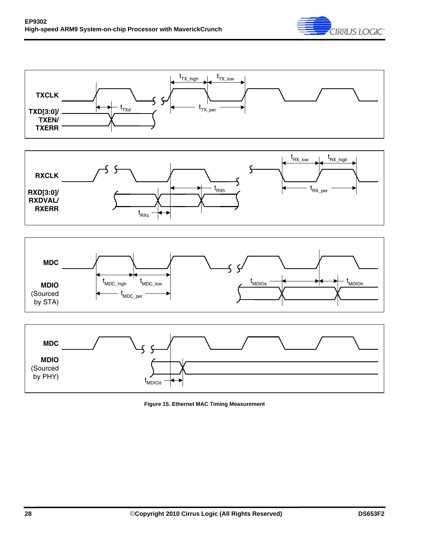







<span id="page-27-0"></span>

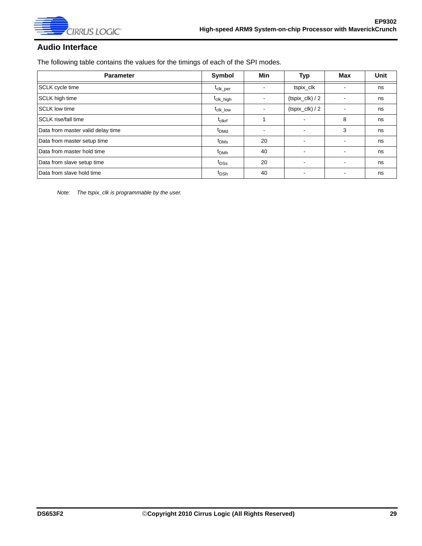

### <span id="page-28-0"></span>**Audio Interface**

The following table contains the values for the timings of each of the SPI modes.

| <b>Parameter</b>                  | Symbol                           | <b>Min</b> | <b>Typ</b>               | Max | <b>Unit</b> |
|-----------------------------------|----------------------------------|------------|--------------------------|-----|-------------|
| <b>SCLK</b> cycle time            | t <sub>clk_per</sub>             |            | tspix_clk                |     | ns          |
| <b>SCLK</b> high time             | t <sub>clk_high</sub>            |            | $(tspix_{llk})/2$        |     | ns          |
| <b>SCLK low time</b>              | $\mathrm{t}_{\mathrm{clk\_low}}$ |            | $(tspix_{llk})/2$        |     | ns          |
| <b>SCLK</b> rise/fall time        | $t_{\sf clkrf}$                  |            | $\overline{\phantom{a}}$ | 8   | ns          |
| Data from master valid delay time | t <sub>DMd</sub>                 |            | ۰.                       | 3   | ns          |
| Data from master setup time       | t <sub>DMs</sub>                 | 20         | $\overline{\phantom{0}}$ |     | ns          |
| Data from master hold time        | t <sub>DMh</sub>                 | 40         | ۰.                       |     | ns          |
| Data from slave setup time        | $t_{\text{DSS}}$                 | 20         | ٠                        |     | ns          |
| Data from slave hold time         | t <sub>DSh</sub>                 | 40         |                          |     | ns          |

*Note: The tspix\_clk is programmable by the user.*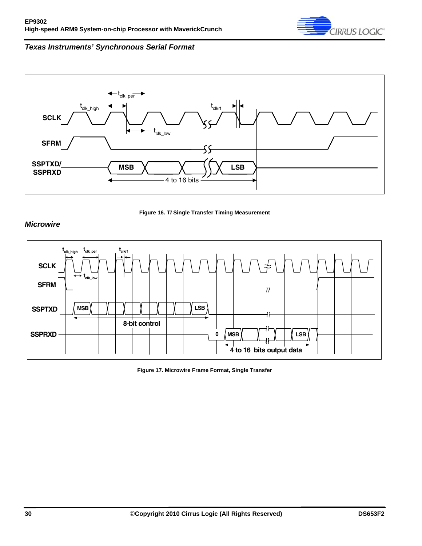

### *Texas Instruments' Synchronous Serial Format*





#### <span id="page-29-0"></span>*Microwire*



<span id="page-29-1"></span>**Figure 17. Microwire Frame Format, Single Transfer**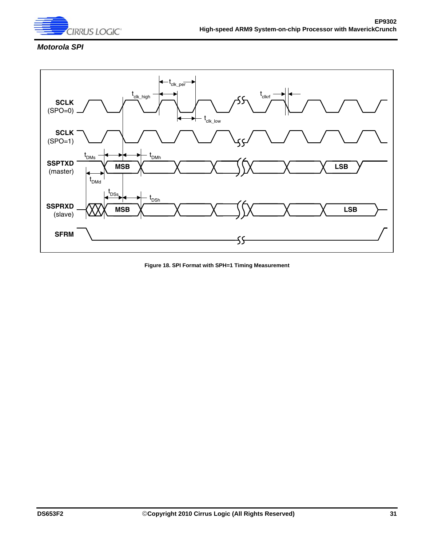

### *Motorola SPI*



<span id="page-30-0"></span>**Figure 18. SPI Format with SPH=1 Timing Measurement**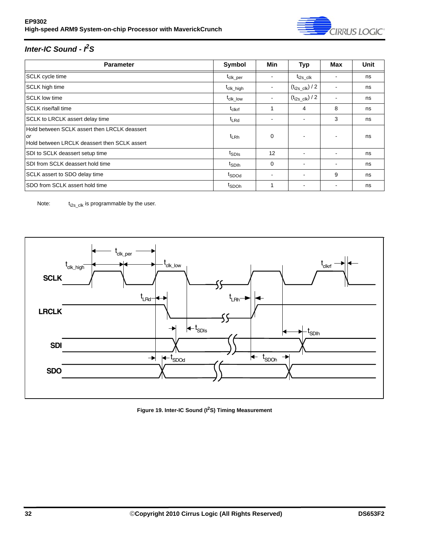

# *Inter-IC Sound - I2S*

| <b>Parameter</b>                                                                                          | Symbol                           | <b>Min</b>               | <b>Typ</b>                      | Max                      | Unit |
|-----------------------------------------------------------------------------------------------------------|----------------------------------|--------------------------|---------------------------------|--------------------------|------|
| SCLK cycle time                                                                                           | <sup>L</sup> clk_per             |                          | $t_{i2s}$ clk                   |                          | ns   |
| <b>SCLK</b> high time                                                                                     | t <sub>clk_high</sub>            | ۰                        | $\left(t_{i2s\_clk}\right)$ / 2 |                          | ns   |
| <b>SCLK low time</b>                                                                                      | $\mathfrak{t}_{\text{clk\_low}}$ |                          | $(t_{i2s\_clk})$ / 2            |                          | ns   |
| <b>SCLK</b> rise/fall time                                                                                | $t_{\sf clkrf}$                  |                          | 4                               | 8                        | ns   |
| SCLK to LRCLK assert delay time                                                                           | <sup>t</sup> LRd                 |                          |                                 | 3                        | ns   |
| Hold between SCLK assert then LRCLK deassert<br><b>or</b><br>Hold between LRCLK deassert then SCLK assert | $t_{LRh}$                        | 0                        |                                 |                          | ns   |
| SDI to SCLK deassert setup time                                                                           | t <sub>SDIs</sub>                | 12                       | $\overline{\phantom{a}}$        | $\overline{\phantom{a}}$ | ns   |
| SDI from SCLK deassert hold time                                                                          | t <sub>SDIh</sub>                | 0                        |                                 | $\overline{\phantom{a}}$ | ns   |
| SCLK assert to SDO delay time                                                                             | t <sub>SDOd</sub>                | $\overline{\phantom{a}}$ | ۰                               | 9                        | ns   |
| SDO from SCLK assert hold time                                                                            | t <sub>SDOh</sub>                | 1                        |                                 |                          | ns   |

Note:  $t_{i2s\_clk}$  is programmable by the user.



<span id="page-31-0"></span>**Figure 19. Inter-IC Sound (I2S) Timing Measurement**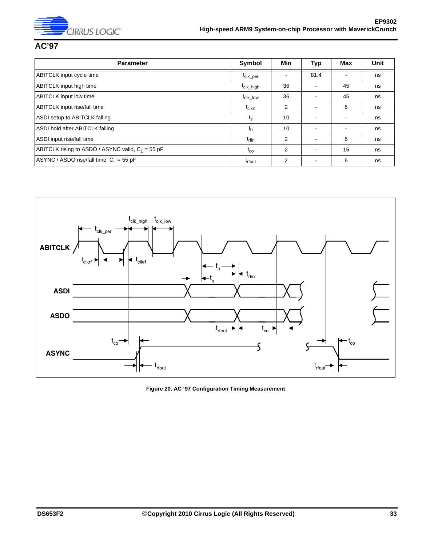

### <span id="page-32-0"></span>**AC'97**

| <b>Parameter</b>                                    | Symbol                                          | Min            | <b>Typ</b>               | Max            | <b>Unit</b> |
|-----------------------------------------------------|-------------------------------------------------|----------------|--------------------------|----------------|-------------|
| ABITCLK input cycle time                            | t <sub>clk_per</sub>                            |                | 81.4                     |                | ns          |
| <b>ABITCLK</b> input high time                      | t <sub>clk_high</sub>                           | 36             | $\blacksquare$           | 45             | ns          |
| <b>ABITCLK</b> input low time                       | $\mathfrak{t}_{\text{clk}\_\text{\small{low}}}$ | 36             | $\overline{\phantom{a}}$ | 45             | ns          |
| <b>ABITCLK</b> input rise/fall time                 | $t_{\text{clkrf}}$                              | $\overline{2}$ | $\overline{\phantom{a}}$ | 6              | ns          |
| <b>ASDI</b> setup to ABITCLK falling                | $t_{\rm s}$                                     | 10             | $\blacksquare$           | $\blacksquare$ | ns          |
| ASDI hold after ABITCLK falling                     | $t_{h}$                                         | 10             | $\blacksquare$           |                | ns          |
| ASDI input rise/fall time                           | $t_{rfin}$                                      | $\overline{2}$ | $\blacksquare$           | 6              | ns          |
| ABITCLK rising to ASDO / ASYNC valid, $C_1 = 55$ pF | $t_{\rm co}$                                    | 2              | $\blacksquare$           | 15             | ns          |
| ASYNC / ASDO rise/fall time, $C_1 = 55$ pF          | t <sub>rfout</sub>                              | 2              | $\overline{\phantom{a}}$ | 6              | ns          |



<span id="page-32-1"></span>**Figure 20. AC '97 Configuration Timing Measurement**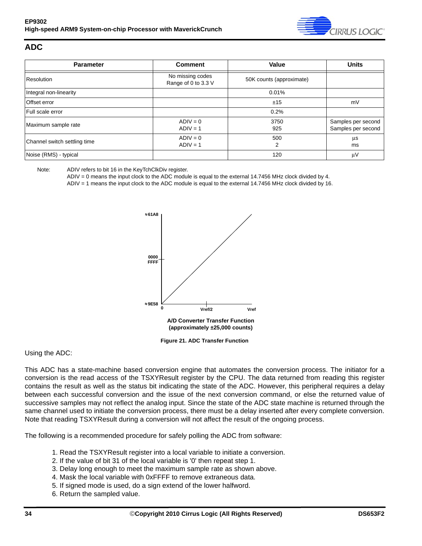

#### <span id="page-33-0"></span>**ADC**

| <b>Parameter</b>             | <b>Comment</b>                          | <b>Value</b>             | <b>Units</b>                             |
|------------------------------|-----------------------------------------|--------------------------|------------------------------------------|
| Resolution                   | No missing codes<br>Range of 0 to 3.3 V | 50K counts (approximate) |                                          |
| Integral non-linearity       |                                         | 0.01%                    |                                          |
| Offset error                 |                                         | ±15                      | mV                                       |
| Full scale error             |                                         | 0.2%                     |                                          |
| Maximum sample rate          | $ADIV = 0$<br>$ADIV = 1$                | 3750<br>925              | Samples per second<br>Samples per second |
| Channel switch settling time | $ADIV = 0$<br>$ADIV = 1$                | 500<br>2                 | $\mu$ s<br>ms                            |
| Noise (RMS) - typical        |                                         | 120                      | μV                                       |

Note: ADIV refers to bit 16 in the KeyTchClkDiv register.

ADIV = 0 means the input clock to the ADC module is equal to the external 14.7456 MHz clock divided by 4.

ADIV = 1 means the input clock to the ADC module is equal to the external 14.7456 MHz clock divided by 16.



**Figure 21. ADC Transfer Function**

#### <span id="page-33-1"></span>Using the ADC:

This ADC has a state-machine based conversion engine that automates the conversion process. The initiator for a conversion is the read access of the TSXYResult register by the CPU. The data returned from reading this register contains the result as well as the status bit indicating the state of the ADC. However, this peripheral requires a delay between each successful conversion and the issue of the next conversion command, or else the returned value of successive samples may not reflect the analog input. Since the state of the ADC state machine is returned through the same channel used to initiate the conversion process, there must be a delay inserted after every complete conversion. Note that reading TSXYResult during a conversion will not affect the result of the ongoing process.

The following is a recommended procedure for safely polling the ADC from software:

- 1. Read the TSXYResult register into a local variable to initiate a conversion.
- 2. If the value of bit 31 of the local variable is '0' then repeat step 1.
- 3. Delay long enough to meet the maximum sample rate as shown above.
- 4. Mask the local variable with 0xFFFF to remove extraneous data.
- 5. If signed mode is used, do a sign extend of the lower halfword.
- 6. Return the sampled value.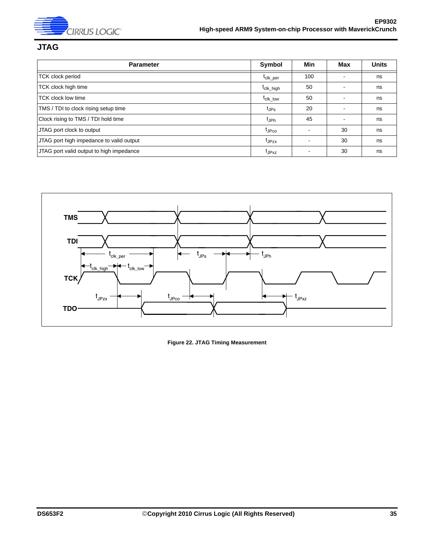

## <span id="page-34-0"></span>**JTAG**

| <b>Parameter</b>                         | Symbol                     | Min | Max | <b>Units</b> |
|------------------------------------------|----------------------------|-----|-----|--------------|
| <b>TCK clock period</b>                  | t <sub>clk_per</sub>       | 100 |     | ns           |
| TCK clock high time                      | t <sub>clk_high</sub>      | 50  |     | ns           |
| <b>TCK</b> clock low time                | $t_{c}$ <sub>cik</sub> low | 50  |     | ns           |
| TMS / TDI to clock rising setup time     | t <sub>JPs</sub>           | 20  |     | ns           |
| Clock rising to TMS / TDI hold time      | tjph                       | 45  |     | ns           |
| JTAG port clock to output                | t <sub>JPco</sub>          |     | 30  | ns           |
| JTAG port high impedance to valid output | t <sub>JPzx</sub>          |     | 30  | ns           |
| JTAG port valid output to high impedance | t <sub>JPxz</sub>          |     | 30  | ns           |



<span id="page-34-1"></span>**Figure 22. JTAG Timing Measurement**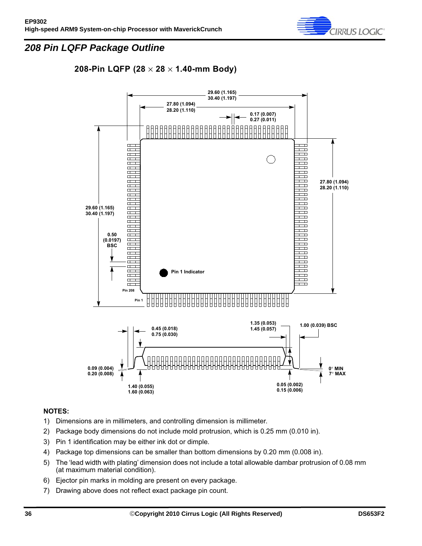

## <span id="page-35-0"></span>*208 Pin LQFP Package Outline*

**2.19 208-Pin LQFP (28** × **28** × **1.40-mm Body)**



#### **NOTES:**

- 1) Dimensions are in millimeters, and controlling dimension is millimeter.
- 2) Package body dimensions do not include mold protrusion, which is 0.25 mm (0.010 in).
- 3) Pin 1 identification may be either ink dot or dimple.
- 4) Package top dimensions can be smaller than bottom dimensions by 0.20 mm (0.008 in).
- 5) The 'lead width with plating' dimension does not include a total allowable dambar protrusion of 0.08 mm (at maximum material condition).
- 6) Ejector pin marks in molding are present on every package.
- 7) Drawing above does not reflect exact package pin count.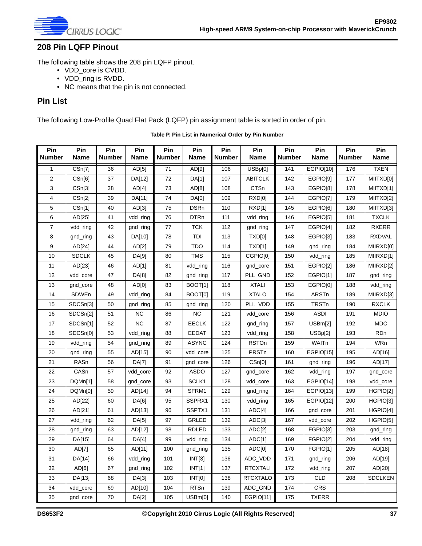

### <span id="page-36-0"></span>**208 Pin LQFP Pinout**

The following table shows the 208 pin LQFP pinout.

- VDD\_core is CVDD.
- VDD\_ring is RVDD.
- NC means that the pin is not connected.

#### **Pin List**

The following Low-Profile Quad Flat Pack (LQFP) pin assignment table is sorted in order of pin.

<span id="page-36-1"></span>

| Pin<br><b>Number</b> | Pin<br><b>Name</b> | Pin<br><b>Number</b> | Pin<br>Name  | Pin<br><b>Number</b> | Pin<br><b>Name</b> | Pin<br><b>Number</b> | Pin<br><b>Name</b> | Pin<br><b>Number</b> | Pin<br><b>Name</b> | Pin<br><b>Number</b> | Pin<br>Name    |
|----------------------|--------------------|----------------------|--------------|----------------------|--------------------|----------------------|--------------------|----------------------|--------------------|----------------------|----------------|
| 1                    | CSn[7]             | 36                   | AD[5]        | 71                   | AD[9]              | 106                  | USBp[0]            | 141                  | EGPIO[10]          | 176                  | <b>TXEN</b>    |
| $\mathbf 2$          | CSn[6]             | 37                   | DA[12]       | 72                   | DA[1]              | 107                  | <b>ABITCLK</b>     | 142                  | EGPIO[9]           | 177                  | MIITXD[0]      |
| 3                    | CSn[3]             | 38                   | AD[4]        | 73                   | AD[8]              | 108                  | <b>CTSn</b>        | 143                  | EGPIO[8]           | 178                  | MIITXD[1]      |
| 4                    | CSn[2]             | 39                   | DA[11]       | 74                   | DA[0]              | 109                  | RXD[0]             | 144                  | EGPIO[7]           | 179                  | MIITXD[2]      |
| 5                    | CSn[1]             | 40                   | AD[3]        | 75                   | <b>DSRn</b>        | 110                  | RXD[1]             | 145                  | EGPIO[6]           | 180                  | MIITXD[3]      |
| 6                    | AD[25]             | 41                   | vdd_ring     | 76                   | <b>DTRn</b>        | 111                  | vdd_ring           | 146                  | EGPIO[5]           | 181                  | <b>TXCLK</b>   |
| $\overline{7}$       | vdd_ring           | 42                   | gnd_ring     | 77                   | <b>TCK</b>         | 112                  | gnd_ring           | 147                  | EGPIO[4]           | 182                  | <b>RXERR</b>   |
| 8                    | gnd_ring           | 43                   | DA[10]       | 78                   | TDI                | 113                  | TXD[0]             | 148                  | EGPIO[3]           | 183                  | <b>RXDVAL</b>  |
| 9                    | AD[24]             | 44                   | AD[2]        | 79                   | <b>TDO</b>         | 114                  | TXD[1]             | 149                  | gnd_ring           | 184                  | MIIRXD[0]      |
| 10                   | <b>SDCLK</b>       | 45                   | DA[9]        | 80                   | <b>TMS</b>         | 115                  | CGPIO[0]           | 150                  | vdd_ring           | 185                  | MIIRXD[1]      |
| 11                   | AD[23]             | 46                   | AD[1]        | 81                   | vdd_ring           | 116                  | gnd_core           | 151                  | EGPIO[2]           | 186                  | MIIRXD[2]      |
| 12                   | vdd_core           | 47                   | DA[8]        | 82                   | gnd_ring           | 117                  | PLL_GND            | 152                  | EGPIO[1]           | 187                  | gnd_ring       |
| 13                   | gnd_core           | 48                   | AD[0]        | 83                   | BOOT[1]            | 118                  | <b>XTALI</b>       | 153                  | EGPIO[0]           | 188                  | vdd_ring       |
| 14                   | SDWEn              | 49                   | vdd_ring     | 84                   | BOOT[0]            | 119                  | <b>XTALO</b>       | 154                  | ARSTn              | 189                  | MIIRXD[3]      |
| 15                   | SDCSn[3]           | 50                   | gnd_ring     | 85                   | gnd_ring           | 120                  | PLL_VDD            | 155                  | TRSTn              | 190                  | <b>RXCLK</b>   |
| 16                   | SDCSn[2]           | 51                   | <b>NC</b>    | 86                   | <b>NC</b>          | 121                  | vdd_core           | 156                  | <b>ASDI</b>        | 191                  | <b>MDIO</b>    |
| 17                   | SDCSn[1]           | 52                   | <b>NC</b>    | 87                   | <b>EECLK</b>       | 122                  | gnd_ring           | 157                  | USBm[2]            | 192                  | <b>MDC</b>     |
| 18                   | SDCSn[0]           | 53                   | vdd_ring     | 88                   | <b>EEDAT</b>       | 123                  | vdd_ring           | 158                  | USBp[2]            | 193                  | <b>RDn</b>     |
| 19                   | vdd_ring           | 54                   | gnd_ring     | 89                   | <b>ASYNC</b>       | 124                  | <b>RSTOn</b>       | 159                  | WAITn              | 194                  | WRn            |
| 20                   | gnd_ring           | 55                   | AD[15]       | 90                   | vdd_core           | 125                  | PRSTn              | 160                  | EGPIO[15]          | 195                  | AD[16]         |
| 21                   | RASn               | 56                   | <b>DA[7]</b> | 91                   | gnd_core           | 126                  | CSn[0]             | 161                  | gnd_ring           | 196                  | AD[17]         |
| 22                   | CASn               | 57                   | vdd_core     | 92                   | ASDO               | 127                  | gnd_core           | 162                  | vdd_ring           | 197                  | gnd_core       |
| 23                   | DQMn[1]            | 58                   | gnd_core     | 93                   | SCLK1              | 128                  | vdd_core           | 163                  | EGPIO[14]          | 198                  | vdd_core       |
| 24                   | DQMn[0]            | 59                   | AD[14]       | 94                   | SFRM1              | 129                  | gnd_ring           | 164                  | EGPIO[13]          | 199                  | HGPIO[2]       |
| 25                   | AD[22]             | 60                   | DA[6]        | 95                   | SSPRX1             | 130                  | vdd_ring           | 165                  | EGPIO[12]          | 200                  | HGPIO[3]       |
| 26                   | AD[21]             | 61                   | AD[13]       | 96                   | SSPTX1             | 131                  | ADC[4]             | 166                  | gnd_core           | 201                  | HGPIO[4]       |
| 27                   | vdd_ring           | 62                   | DA[5]        | 97                   | <b>GRLED</b>       | 132                  | ADC[3]             | 167                  | vdd_core           | 202                  | HGPIO[5]       |
| 28                   | gnd_ring           | 63                   | AD[12]       | 98                   | <b>RDLED</b>       | 133                  | ADC[2]             | 168                  | FGPIO[3]           | 203                  | gnd_ring       |
| 29                   | DA[15]             | 64                   | DA[4]        | 99                   | vdd_ring           | 134                  | ADC[1]             | 169                  | FGPIO[2]           | 204                  | vdd_ring       |
| 30                   | AD[7]              | 65                   | AD[11]       | 100                  | gnd_ring           | 135                  | ADC[0]             | 170                  | FGPIO[1]           | 205                  | AD[18]         |
| 31                   | DA[14]             | 66                   | vdd_ring     | 101                  | INT[3]             | 136                  | ADC_VDD            | 171                  | gnd_ring           | 206                  | AD[19]         |
| 32                   | AD[6]              | 67                   | gnd_ring     | 102                  | INT[1]             | 137                  | <b>RTCXTALI</b>    | 172                  | vdd_ring           | 207                  | AD[20]         |
| 33                   | DA[13]             | 68                   | DA[3]        | 103                  | INT[0]             | 138                  | <b>RTCXTALO</b>    | 173                  | <b>CLD</b>         | 208                  | <b>SDCLKEN</b> |
| 34                   | vdd_core           | 69                   | AD[10]       | 104                  | <b>RTSn</b>        | 139                  | ADC_GND            | 174                  | CRS                |                      |                |
| 35                   | gnd_core           | 70                   | DA[2]        | 105                  | USBm[0]            | 140                  | EGPIO[11]          | 175                  | <b>TXERR</b>       |                      |                |

**Table P. Pin List in Numerical Order by Pin Number**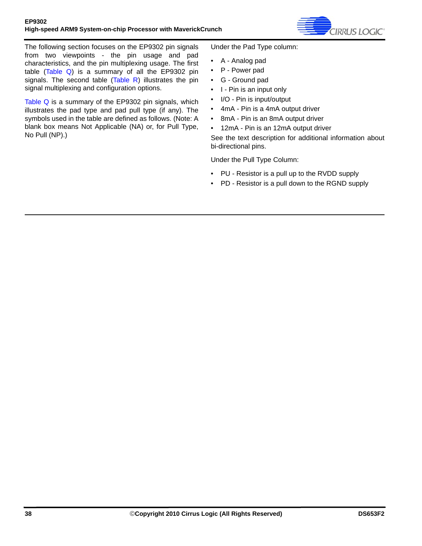

The following section focuses on the EP9302 pin signals from two viewpoints - the pin usage and pad characteristics, and the pin multiplexing usage. The first table ([Table Q\)](#page-38-0) is a summary of all the EP9302 pin signals. The second table [\(Table R](#page-39-0)) illustrates the pin signal multiplexing and configuration options.

[Table Q](#page-38-0) is a summary of the EP9302 pin signals, which illustrates the pad type and pad pull type (if any). The symbols used in the table are defined as follows. (Note: A blank box means Not Applicable (NA) or, for Pull Type, No Pull (NP).)

Under the Pad Type column:

- A Analog pad
- P Power pad
- G Ground pad
- I Pin is an input only
- I/O Pin is input/output
- 4mA Pin is a 4mA output driver
- 8mA Pin is an 8mA output driver
- 12mA Pin is an 12mA output driver

See the text description for additional information about bi-directional pins.

Under the Pull Type Column:

- PU Resistor is a pull up to the RVDD supply
- PD Resistor is a pull down to the RGND supply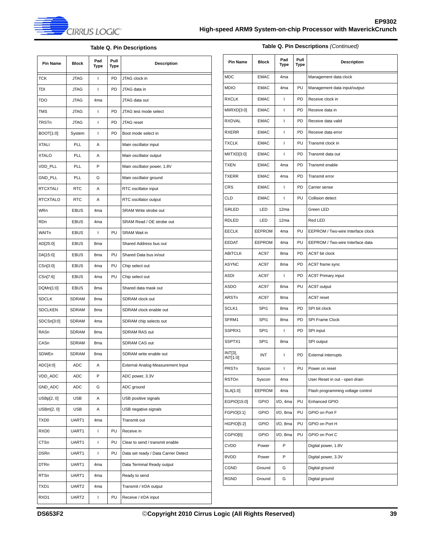

**Table Q. Pin Descriptions** *(Continued)*

#### **Table Q. Pin Descriptions**

<span id="page-38-0"></span>

| Pin Name        | <b>Block</b> | Pad<br>Type     | Pull<br>Type | <b>Description</b>                   |
|-----------------|--------------|-----------------|--------------|--------------------------------------|
| <b>TCK</b>      | <b>JTAG</b>  | ı               | PD.          | JTAG clock in                        |
| TDI             | <b>JTAG</b>  | $\mathbf{I}$    | PD           | JTAG data in                         |
| <b>TDO</b>      | JTAG         | 4 <sub>ma</sub> |              | JTAG data out                        |
| <b>TMS</b>      | <b>JTAG</b>  | $\mathbf{I}$    | <b>PD</b>    | JTAG test mode select                |
| TRSTn           | JTAG         | $\mathbf{I}$    | PD           | JTAG reset                           |
| BOOT[1:0]       | System       | $\mathbf{I}$    | PD           | Boot mode select in                  |
| <b>XTALI</b>    | PLL          | A               |              | Main oscillator input                |
| <b>XTALO</b>    | PLL          | Α               |              | Main oscillator output               |
| VDD_PLL         | PLL          | P               |              | Main oscillator power, 1.8V          |
| GND_PLL         | PLL          | G               |              | Main oscillator ground               |
| RTCXTALI        | <b>RTC</b>   | Α               |              | RTC oscillator input                 |
| <b>RTCXTALO</b> | <b>RTC</b>   | А               |              | RTC oscillator output                |
| <b>WRn</b>      | <b>EBUS</b>  | 4 <sub>ma</sub> |              | SRAM Write strobe out                |
| <b>RDn</b>      | EBUS         | 4 <sub>ma</sub> |              | SRAM Read / OE strobe out            |
| <b>WAITn</b>    | EBUS         | $\mathbf{I}$    | PU           | <b>SRAM Wait in</b>                  |
| AD[25:0]        | <b>EBUS</b>  | 8 <sub>ma</sub> |              | Shared Address bus out               |
| DA[15:0]        | <b>EBUS</b>  | 8 <sub>ma</sub> | PU           | Shared Data bus in/out               |
| CSn[3:0]        | <b>EBUS</b>  | 4 <sub>ma</sub> | PU           | Chip select out                      |
| CSn[7:6]        | <b>EBUS</b>  | 4 <sub>ma</sub> | PU           | Chip select out                      |
| DQMn[1:0]       | EBUS         | 8ma             |              | Shared data mask out                 |
| <b>SDCLK</b>    | SDRAM        | 8 <sub>ma</sub> |              | SDRAM clock out                      |
| <b>SDCLKEN</b>  | <b>SDRAM</b> | 8 <sub>ma</sub> |              | SDRAM clock enable out               |
| SDCSn[3:0]      | SDRAM        | 4 <sub>ma</sub> |              | SDRAM chip selects out               |
| RASn            | SDRAM        | 8 <sub>ma</sub> |              | <b>SDRAM RAS out</b>                 |
| CASn            | <b>SDRAM</b> | 8 <sub>ma</sub> |              | SDRAM CAS out                        |
| SDWEn           | <b>SDRAM</b> | 8ma             |              | SDRAM write enable out               |
| ADC[4:0]        | ADC          | Α               |              | External Analog Measurement Input    |
| VDD_ADC         | ADC          | P               |              | ADC power, 3.3V                      |
| GND_ADC         | ADC          | G               |              | ADC ground                           |
| USBp[2, 0]      | USB          | Α               |              | USB positive signals                 |
| USBm[2, 0]      | USB          | Α               |              | USB negative signals                 |
| TXD0            | UART1        | 4 <sub>ma</sub> |              | Transmit out                         |
| RXD0            | UART1        | L               | PU           | Receive in                           |
| <b>CTSn</b>     | UART1        | L               | PU           | Clear to send / transmit enable      |
| DSRn            | UART1        | L               | PU           | Data set ready / Data Carrier Detect |
| <b>DTRn</b>     | UART1        | 4ma             |              | Data Terminal Ready output           |
| RTSn            | UART1        | 4ma             |              | Ready to send                        |
| TXD1            | UART2        | 4ma             |              | Transmit / IrDA output               |
| RXD1            | UART2        | L               | PU           | Receive / IrDA input                 |

| <b>Pin Name</b>     | Block            | Pad<br>Type     | Pull<br>Type | <b>Description</b>                |
|---------------------|------------------|-----------------|--------------|-----------------------------------|
| <b>MDC</b>          | <b>EMAC</b>      | 4 <sub>ma</sub> |              | Management data clock             |
| <b>MDIO</b>         | <b>EMAC</b>      | 4 <sub>ma</sub> | PU           | Management data input/output      |
| <b>RXCLK</b>        | <b>EMAC</b>      | $\mathsf{I}$    | PD           | Receive clock in                  |
| MIIRXD[3:0]         | <b>EMAC</b>      | $\mathbf{I}$    | PD           | Receive data in                   |
| <b>RXDVAL</b>       | <b>EMAC</b>      | T               | PD           | Receive data valid                |
| <b>RXERR</b>        | <b>EMAC</b>      | T               | PD           | Receive data error                |
| <b>TXCLK</b>        | <b>EMAC</b>      | $\mathbf{I}$    | PU           | Transmit clock in                 |
| MIITXD[3:0]         | <b>EMAC</b>      | T               | PD           | Transmit data out                 |
| <b>TXEN</b>         | <b>EMAC</b>      | 4 <sub>ma</sub> | PD           | Transmit enable                   |
| <b>TXERR</b>        | <b>EMAC</b>      | 4 <sub>ma</sub> | PD           | Transmit error                    |
| <b>CRS</b>          | <b>EMAC</b>      | T               | PD           | Carrier sense                     |
| CLD                 | <b>EMAC</b>      | $\mathsf{I}$    | PU           | Collision detect                  |
| GRLED               | LED              | 12ma            |              | Green LED                         |
| <b>RDLED</b>        | LED              | 12ma            |              | Red LED                           |
| <b>EECLK</b>        | <b>EEPROM</b>    | 4 <sub>ma</sub> | PU           | EEPROM / Two-wire Interface clock |
| <b>EEDAT</b>        | EEPROM           | 4 <sub>ma</sub> | PU           | EEPROM / Two-wire Interface data  |
| <b>ABITCLK</b>      | AC97             | 8 <sub>ma</sub> | PD           | AC97 bit clock                    |
| <b>ASYNC</b>        | AC97             | 8 <sub>ma</sub> | PD           | AC97 frame sync                   |
| <b>ASDI</b>         | AC97             | $\mathbf{I}$    | PD           | <b>AC97 Primary input</b>         |
| <b>ASDO</b>         | AC97             | 8 <sub>ma</sub> | PU           | AC97 output                       |
| ARSTn               | AC97             | 8 <sub>ma</sub> |              | AC97 reset                        |
| SCLK1               | SPI <sub>1</sub> | 8 <sub>ma</sub> | PD           | SPI bit clock                     |
| SFRM1               | SPI <sub>1</sub> | 8 <sub>ma</sub> | PD           | SPI Frame Clock                   |
| SSPRX1              | SPI <sub>1</sub> | $\mathsf{I}$    | PD           | SPI input                         |
| SSPTX1              | SPI <sub>1</sub> | 8 <sub>ma</sub> |              | SPI output                        |
| INT[3],<br>INT[1:0] | INT              | T               | PD           | <b>External interrupts</b>        |
| PRSTn               | Syscon           | L               | PU           | Power on reset                    |
| <b>RSTOn</b>        | Syscon           | 4ma             |              | User Reset in out - open drain    |
| SLA[1:0]            | EEPROM           | 4 <sub>ma</sub> |              | Flash programming voltage control |
| EGPIO[15:0]         | GPIO             | $I/O$ , 4ma     | PU           | Enhanced GPIO                     |
| FGPIO[3:1]          | <b>GPIO</b>      | I/O, 8ma        | PU           | GPIO on Port F                    |
| HGPIO[5:2]          | <b>GPIO</b>      | I/O, 8ma        | PU           | GPIO on Port H                    |
| CGPIO[0]            | <b>GPIO</b>      | I/O, 8ma        | PU           | GPIO on Port C                    |
| <b>CVDD</b>         | Power            | P               |              | Digital power, 1.8V               |
| RVDD                | Power            | P               |              | Digital power, 3.3V               |
| CGND                | Ground           | G               |              | Digital ground                    |
| RGND                | Ground           | G               |              | Digital ground                    |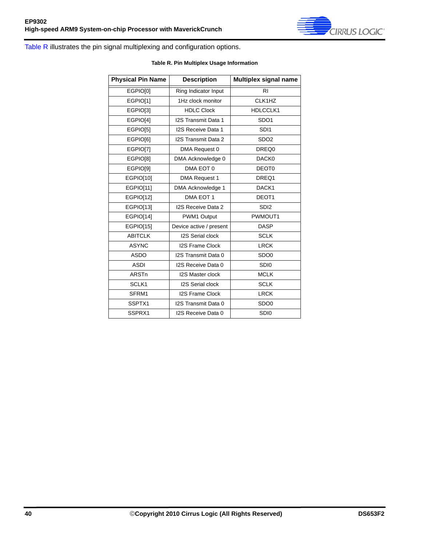

<span id="page-39-0"></span>[Table R](#page-39-0) illustrates the pin signal multiplexing and configuration options.

#### **Table R. Pin Multiplex Usage Information**

| <b>Physical Pin Name</b> | <b>Description</b>        | Multiplex signal name |
|--------------------------|---------------------------|-----------------------|
| EGPIO[0]                 | Ring Indicator Input      | R <sub>1</sub>        |
| EGPIO[1]                 | 1Hz clock monitor         | CLK1HZ                |
| EGPIO[3]                 | <b>HDLC Clock</b>         | HDLCCLK1              |
| EGPIO[4]                 | I2S Transmit Data 1       | SDO <sub>1</sub>      |
| EGPIO[5]                 | <b>I2S Receive Data 1</b> | SDI <sub>1</sub>      |
| EGPIO[6]                 | I2S Transmit Data 2       | SDO <sub>2</sub>      |
| EGPIO[7]                 | DMA Request 0             | DREQ0                 |
| EGPIO[8]                 | DMA Acknowledge 0         | DACK0                 |
| EGPIO[9]                 | DMA EOT 0                 | DEOT <sub>0</sub>     |
| EGPIO[10]                | <b>DMA Request 1</b>      | DREQ1                 |
| EGPIO[11]                | DMA Acknowledge 1         | DACK1                 |
| EGPIO[12]                | DMA EOT 1                 | DEOT1                 |
| EGPIO[13]                | <b>I2S Receive Data 2</b> | SD <sub>12</sub>      |
| <b>EGPIO[14]</b>         | PWM1 Output               | PWMOUT1               |
| EGPIO[15]                | Device active / present   | <b>DASP</b>           |
| <b>ABITCLK</b>           | <b>I2S Serial clock</b>   | <b>SCLK</b>           |
| <b>ASYNC</b>             | <b>I2S Frame Clock</b>    | <b>LRCK</b>           |
| <b>ASDO</b>              | I2S Transmit Data 0       | SDO <sub>0</sub>      |
| <b>ASDI</b>              | I2S Receive Data 0        | SDI <sub>0</sub>      |
| <b>ARSTn</b>             | <b>I2S Master clock</b>   | <b>MCLK</b>           |
| SCLK1                    | <b>I2S Serial clock</b>   | <b>SCLK</b>           |
| SFRM1                    | <b>I2S Frame Clock</b>    | <b>LRCK</b>           |
| SSPTX1                   | I2S Transmit Data 0       | SDO <sub>0</sub>      |
| SSPRX1                   | I2S Receive Data 0        | SDI <sub>0</sub>      |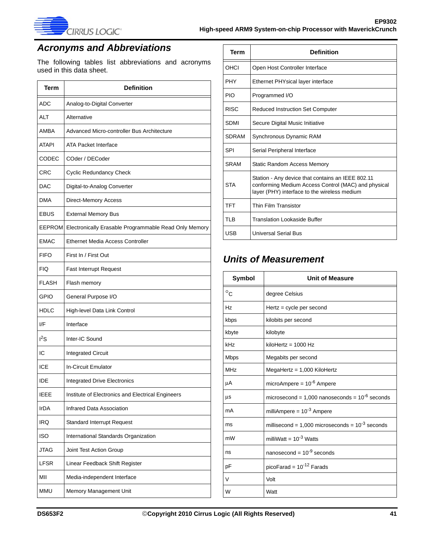

# <span id="page-40-0"></span>*Acronyms and Abbreviations*

The following tables list abbreviations and acronyms used in this data sheet.

| <b>Term</b>   | <b>Definition</b>                                     |
|---------------|-------------------------------------------------------|
| ADC           | Analog-to-Digital Converter                           |
| ALT           | Alternative                                           |
| AMBA          | Advanced Micro-controller Bus Architecture            |
| <b>ATAPI</b>  | <b>ATA Packet Interface</b>                           |
| CODEC         | COder / DECoder                                       |
| CRC           | <b>Cyclic Redundancy Check</b>                        |
| DAC           | Digital-to-Analog Converter                           |
| <b>DMA</b>    | <b>Direct-Memory Access</b>                           |
| <b>EBUS</b>   | <b>External Memory Bus</b>                            |
| <b>EEPROM</b> | Electronically Erasable Programmable Read Only Memory |
| <b>EMAC</b>   | Ethernet Media Access Controller                      |
| <b>FIFO</b>   | First In / First Out                                  |
| <b>FIQ</b>    | <b>Fast Interrupt Request</b>                         |
| <b>FLASH</b>  | Flash memory                                          |
| <b>GPIO</b>   | General Purpose I/O                                   |
| HDLC          | High-level Data Link Control                          |
| I/F           | Interface                                             |
| $I^2S$        | Inter-IC Sound                                        |
| IC            | <b>Integrated Circuit</b>                             |
| ICE           | In-Circuit Emulator                                   |
| IDE           | <b>Integrated Drive Electronics</b>                   |
| <b>IEEE</b>   | Institute of Electronics and Electrical Engineers     |
| IrDA          | <b>Infrared Data Association</b>                      |
| <b>IRQ</b>    | <b>Standard Interrupt Request</b>                     |
| ISO           | International Standards Organization                  |
| JTAG          | Joint Test Action Group                               |
| LFSR          | Linear Feedback Shift Register                        |
| МII           | Media-independent Interface                           |
| <b>MMU</b>    | Memory Management Unit                                |

| <b>Term</b>  | <b>Definition</b>                                                                                                                                        |
|--------------|----------------------------------------------------------------------------------------------------------------------------------------------------------|
| OHCI         | Open Host Controller Interface                                                                                                                           |
| <b>PHY</b>   | Ethernet PHYsical layer interface                                                                                                                        |
| PIO          | Programmed I/O                                                                                                                                           |
| <b>RISC</b>  | <b>Reduced Instruction Set Computer</b>                                                                                                                  |
| SDMI         | Secure Digital Music Initiative                                                                                                                          |
| <b>SDRAM</b> | Synchronous Dynamic RAM                                                                                                                                  |
| SPI          | Serial Peripheral Interface                                                                                                                              |
| <b>SRAM</b>  | <b>Static Random Access Memory</b>                                                                                                                       |
| <b>STA</b>   | Station - Any device that contains an IEEE 802.11<br>conforming Medium Access Control (MAC) and physical<br>layer (PHY) interface to the wireless medium |
| <b>TFT</b>   | Thin Film Transistor                                                                                                                                     |
| TLB          | <b>Translation Lookaside Buffer</b>                                                                                                                      |
| <b>USB</b>   | <b>Universal Serial Bus</b>                                                                                                                              |

## <span id="page-40-1"></span>*Units of Measurement*

| Symbol            | <b>Unit of Measure</b>                                 |
|-------------------|--------------------------------------------------------|
| $^{\circ}{\rm c}$ | degree Celsius                                         |
| Hz                | $Hertz = cycle per second$                             |
| kbps              | kilobits per second                                    |
| kbyte             | kilobyte                                               |
| kHz               | $kiloHertz = 1000 Hz$                                  |
| <b>Mbps</b>       | Megabits per second                                    |
| <b>MHz</b>        | $MegaHertz = 1,000$ KiloHertz                          |
| μA                | microAmpere = $10^{-6}$ Ampere                         |
| μs                | microsecond = $1,000$ nanoseconds = $10^{-6}$ seconds  |
| mA                | milliAmpere = $10^{-3}$ Ampere                         |
| ms                | millisecond = $1,000$ microseconds = $10^{-3}$ seconds |
| mW                | milliWatt = $10^{-3}$ Watts                            |
| ns                | nanosecond = $10^{-9}$ seconds                         |
| pF                | picoFarad = $10^{-12}$ Farads                          |
| $\vee$            | Volt                                                   |
| W                 | Watt                                                   |